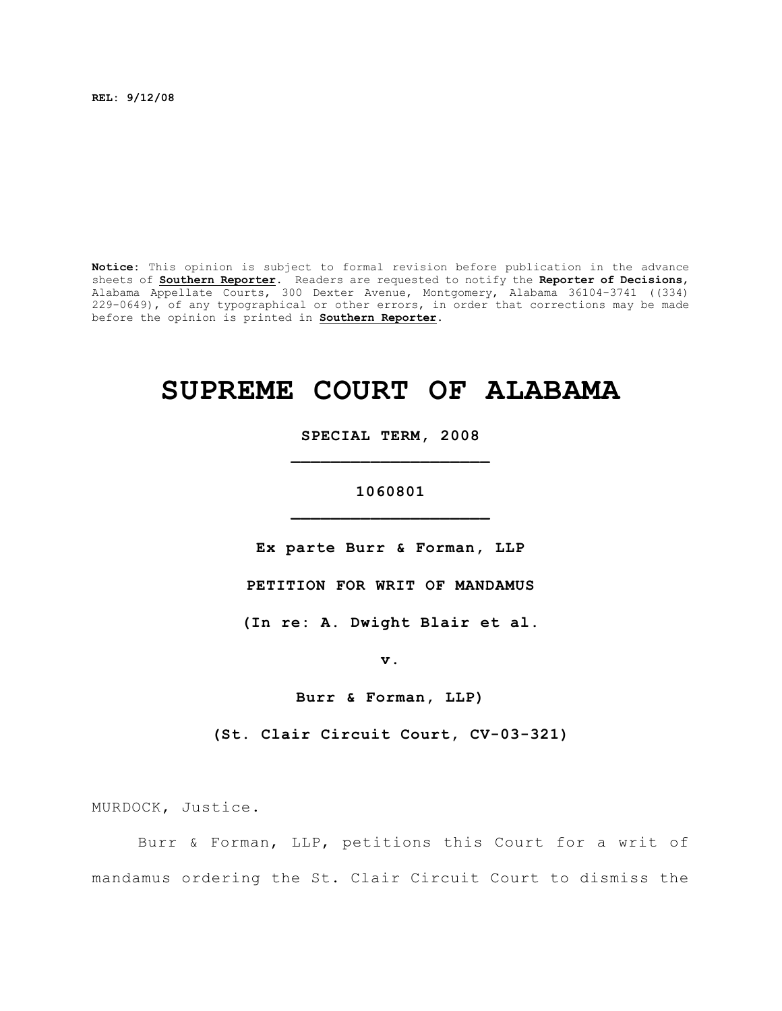**REL: 9/12/08**

**Notice:** This opinion is subject to formal revision before publication in the advance sheets of **Southern Reporter**. Readers are requested to notify the **Reporter of Decisions**, Alabama Appellate Courts, 300 Dexter Avenue, Montgomery, Alabama 36104-3741 ((334) 229-0649), of any typographical or other errors, in order that corrections may be made before the opinion is printed in **Southern Reporter**.

# **SUPREME COURT OF ALABAMA**

**SPECIAL TERM, 2008 \_\_\_\_\_\_\_\_\_\_\_\_\_\_\_\_\_\_\_\_**

**1060801 \_\_\_\_\_\_\_\_\_\_\_\_\_\_\_\_\_\_\_\_**

**Ex parte Burr & Forman, LLP**

**PETITION FOR WRIT OF MANDAMUS**

**(In re: A. Dwight Blair et al.**

**v.**

**Burr & Forman, LLP)**

**(St. Clair Circuit Court, CV-03-321)**

MURDOCK, Justice.

Burr & Forman, LLP, petitions this Court for a writ of mandamus ordering the St. Clair Circuit Court to dismiss the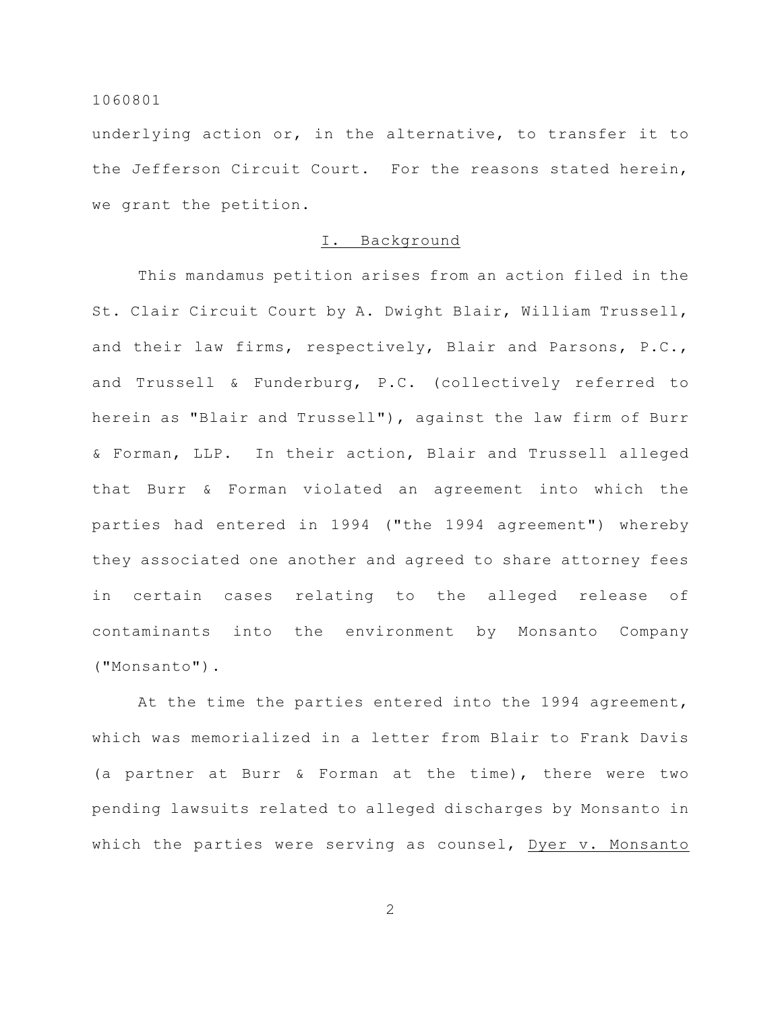underlying action or, in the alternative, to transfer it to the Jefferson Circuit Court. For the reasons stated herein, we grant the petition.

# I. Background

This mandamus petition arises from an action filed in the St. Clair Circuit Court by A. Dwight Blair, William Trussell, and their law firms, respectively, Blair and Parsons, P.C., and Trussell & Funderburg, P.C. (collectively referred to herein as "Blair and Trussell"), against the law firm of Burr & Forman, LLP. In their action, Blair and Trussell alleged that Burr & Forman violated an agreement into which the parties had entered in 1994 ("the 1994 agreement") whereby they associated one another and agreed to share attorney fees in certain cases relating to the alleged release of contaminants into the environment by Monsanto Company ("Monsanto").

At the time the parties entered into the 1994 agreement, which was memorialized in a letter from Blair to Frank Davis (a partner at Burr & Forman at the time), there were two pending lawsuits related to alleged discharges by Monsanto in which the parties were serving as counsel, Dyer v. Monsanto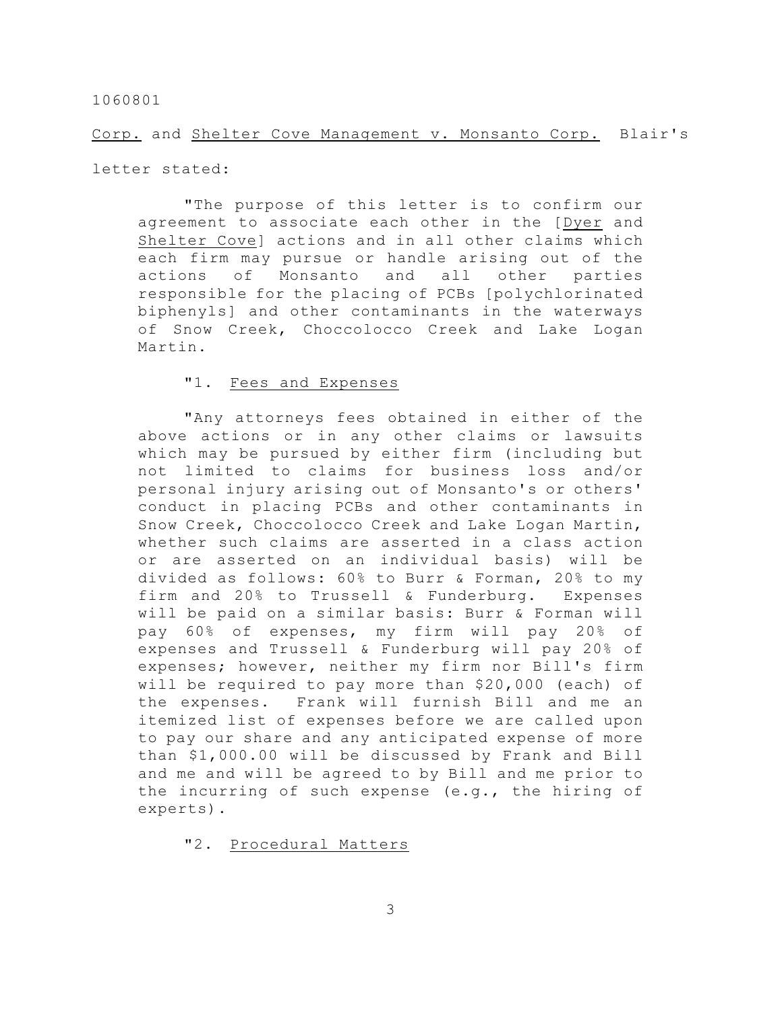Corp. and Shelter Cove Management v. Monsanto Corp. Blair's

letter stated:

"The purpose of this letter is to confirm our agreement to associate each other in the [Dyer and Shelter Cove] actions and in all other claims which each firm may pursue or handle arising out of the actions of Monsanto and all other parties responsible for the placing of PCBs [polychlorinated biphenyls] and other contaminants in the waterways of Snow Creek, Choccolocco Creek and Lake Logan Martin.

## "1. Fees and Expenses

"Any attorneys fees obtained in either of the above actions or in any other claims or lawsuits which may be pursued by either firm (including but not limited to claims for business loss and/or personal injury arising out of Monsanto's or others' conduct in placing PCBs and other contaminants in Snow Creek, Choccolocco Creek and Lake Logan Martin, whether such claims are asserted in a class action or are asserted on an individual basis) will be divided as follows: 60% to Burr & Forman, 20% to my firm and 20% to Trussell & Funderburg. Expenses will be paid on a similar basis: Burr & Forman will pay 60% of expenses, my firm will pay 20% of expenses and Trussell & Funderburg will pay 20% of expenses; however, neither my firm nor Bill's firm will be required to pay more than \$20,000 (each) of the expenses. Frank will furnish Bill and me an itemized list of expenses before we are called upon to pay our share and any anticipated expense of more than \$1,000.00 will be discussed by Frank and Bill and me and will be agreed to by Bill and me prior to the incurring of such expense (e.g., the hiring of experts).

"2. Procedural Matters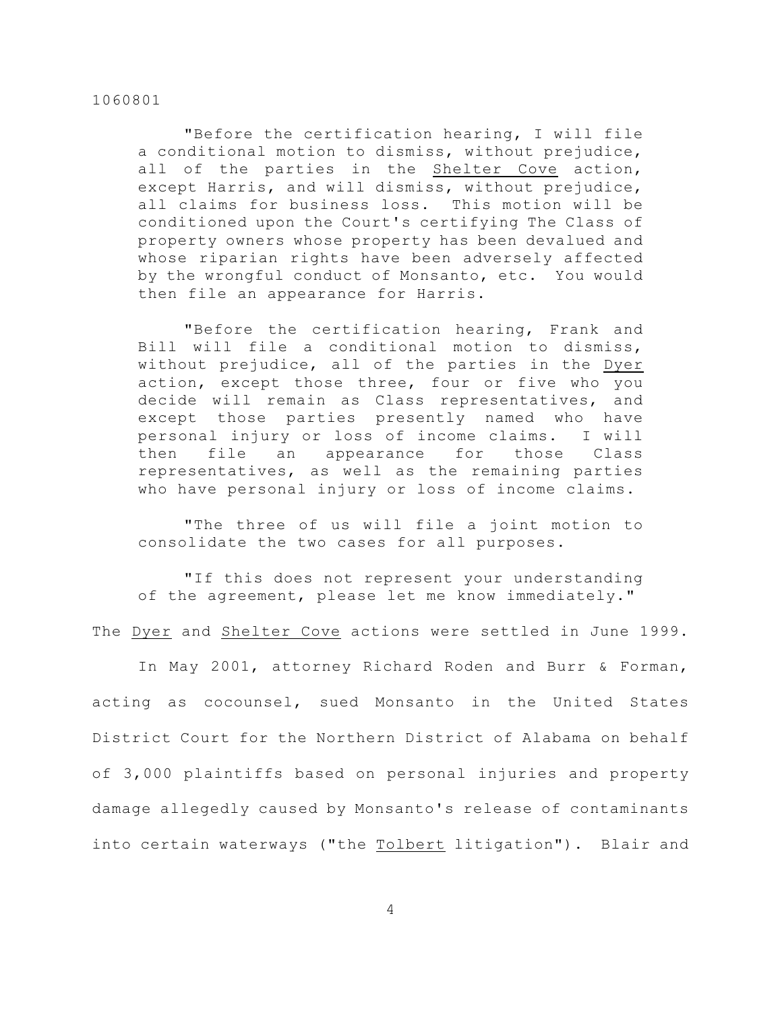"Before the certification hearing, I will file a conditional motion to dismiss, without prejudice, all of the parties in the Shelter Cove action, except Harris, and will dismiss, without prejudice, all claims for business loss. This motion will be conditioned upon the Court's certifying The Class of property owners whose property has been devalued and whose riparian rights have been adversely affected by the wrongful conduct of Monsanto, etc. You would then file an appearance for Harris.

"Before the certification hearing, Frank and Bill will file a conditional motion to dismiss, without prejudice, all of the parties in the Dyer action, except those three, four or five who you decide will remain as Class representatives, and except those parties presently named who have personal injury or loss of income claims. I will then file an appearance for those Class representatives, as well as the remaining parties who have personal injury or loss of income claims.

"The three of us will file a joint motion to consolidate the two cases for all purposes.

"If this does not represent your understanding of the agreement, please let me know immediately."

The Dyer and Shelter Cove actions were settled in June 1999.

In May 2001, attorney Richard Roden and Burr & Forman, acting as cocounsel, sued Monsanto in the United States District Court for the Northern District of Alabama on behalf of 3,000 plaintiffs based on personal injuries and property damage allegedly caused by Monsanto's release of contaminants into certain waterways ("the Tolbert litigation"). Blair and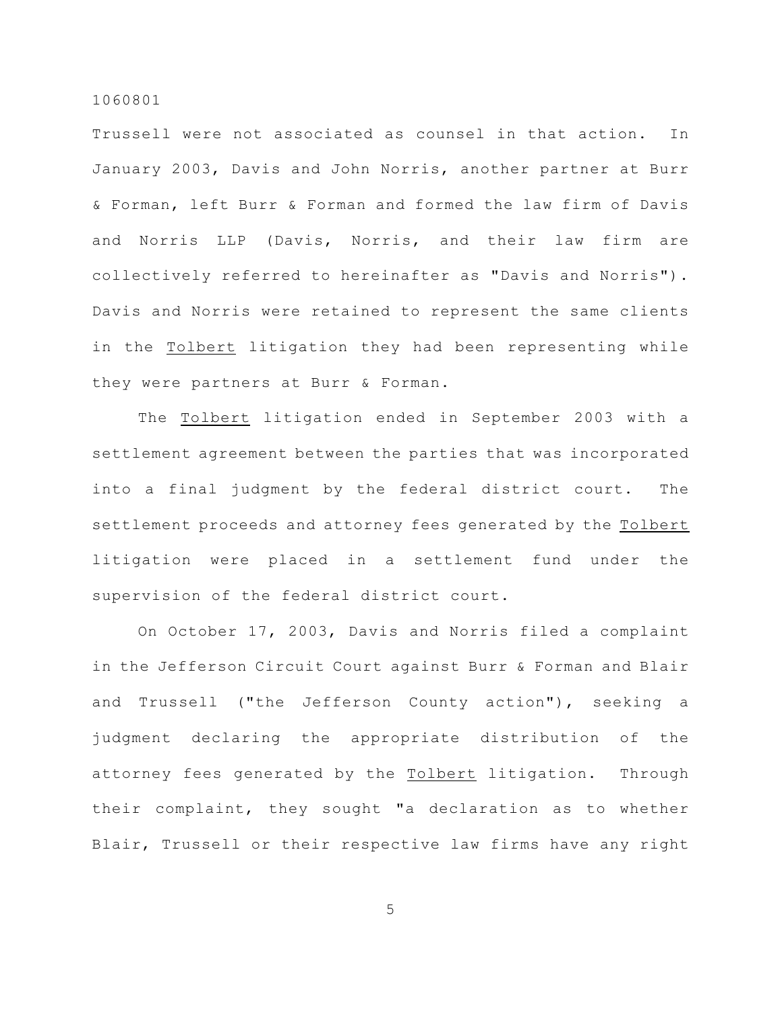Trussell were not associated as counsel in that action. In January 2003, Davis and John Norris, another partner at Burr & Forman, left Burr & Forman and formed the law firm of Davis and Norris LLP (Davis, Norris, and their law firm are collectively referred to hereinafter as "Davis and Norris"). Davis and Norris were retained to represent the same clients in the Tolbert litigation they had been representing while they were partners at Burr & Forman.

The Tolbert litigation ended in September 2003 with a settlement agreement between the parties that was incorporated into a final judgment by the federal district court. The settlement proceeds and attorney fees generated by the Tolbert litigation were placed in a settlement fund under the supervision of the federal district court.

On October 17, 2003, Davis and Norris filed a complaint in the Jefferson Circuit Court against Burr & Forman and Blair and Trussell ("the Jefferson County action"), seeking a judgment declaring the appropriate distribution of the attorney fees generated by the Tolbert litigation. Through their complaint, they sought "a declaration as to whether Blair, Trussell or their respective law firms have any right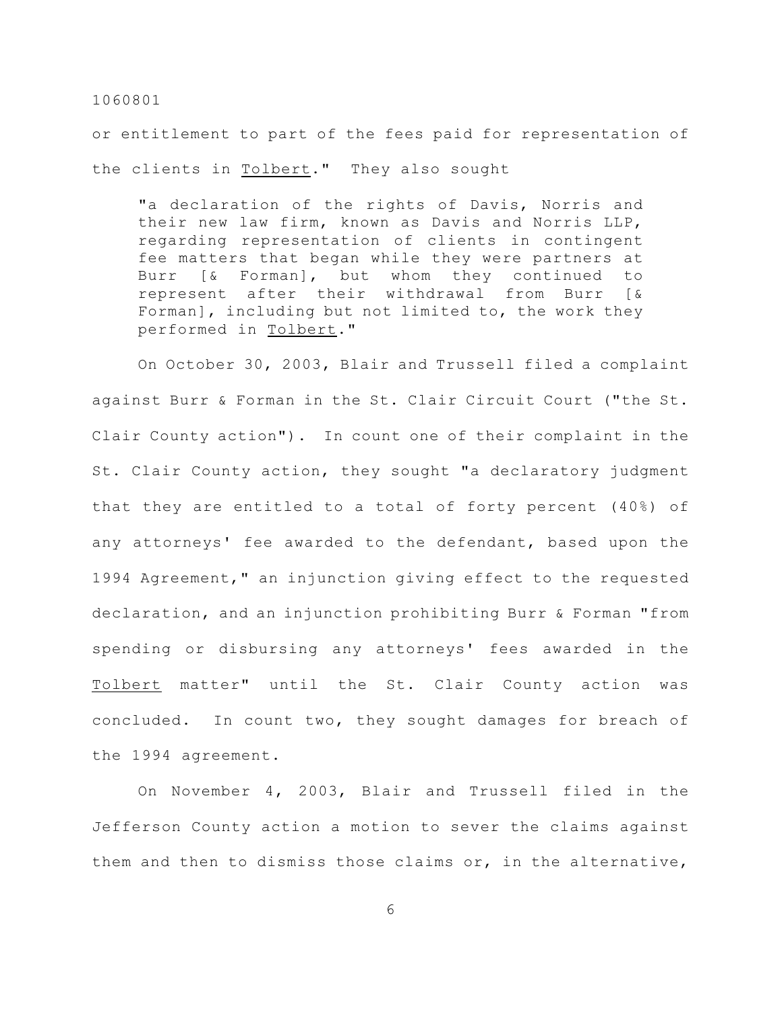or entitlement to part of the fees paid for representation of the clients in Tolbert." They also sought

"a declaration of the rights of Davis, Norris and their new law firm, known as Davis and Norris LLP, regarding representation of clients in contingent fee matters that began while they were partners at Burr [& Forman], but whom they continued to represent after their withdrawal from Burr [& Forman], including but not limited to, the work they performed in Tolbert."

On October 30, 2003, Blair and Trussell filed a complaint against Burr & Forman in the St. Clair Circuit Court ("the St. Clair County action"). In count one of their complaint in the St. Clair County action, they sought "a declaratory judgment that they are entitled to a total of forty percent (40%) of any attorneys' fee awarded to the defendant, based upon the 1994 Agreement," an injunction giving effect to the requested declaration, and an injunction prohibiting Burr & Forman "from spending or disbursing any attorneys' fees awarded in the Tolbert matter" until the St. Clair County action was concluded. In count two, they sought damages for breach of the 1994 agreement.

On November 4, 2003, Blair and Trussell filed in the Jefferson County action a motion to sever the claims against them and then to dismiss those claims or, in the alternative,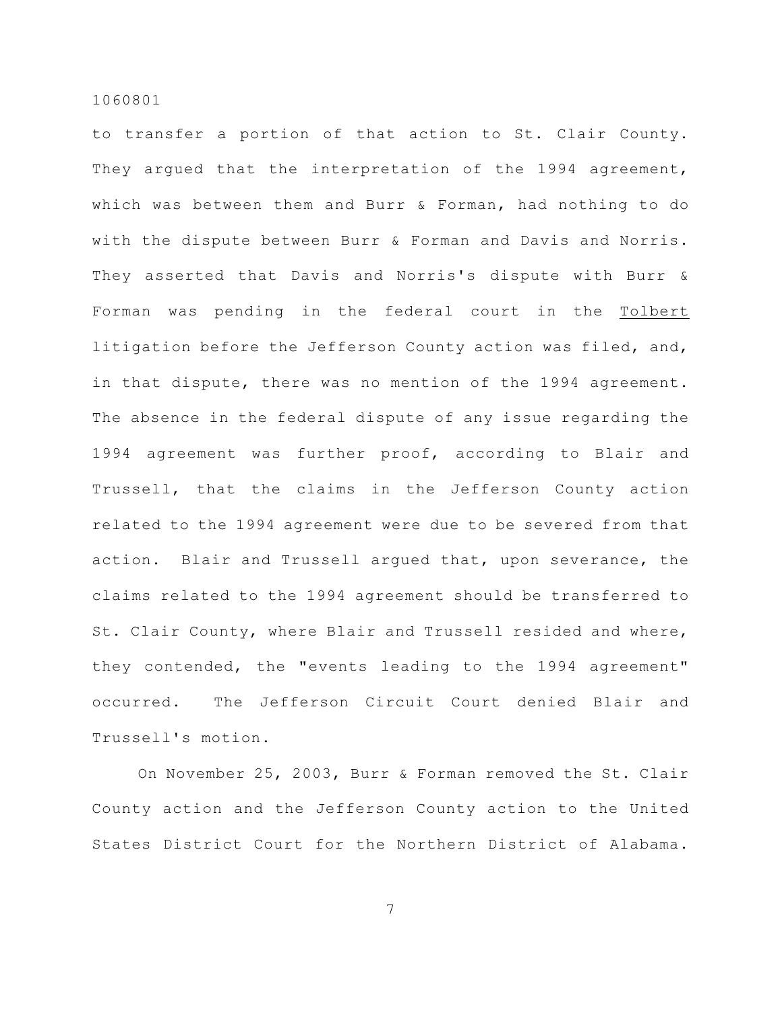to transfer a portion of that action to St. Clair County. They argued that the interpretation of the 1994 agreement, which was between them and Burr & Forman, had nothing to do with the dispute between Burr & Forman and Davis and Norris. They asserted that Davis and Norris's dispute with Burr & Forman was pending in the federal court in the Tolbert litigation before the Jefferson County action was filed, and, in that dispute, there was no mention of the 1994 agreement. The absence in the federal dispute of any issue regarding the 1994 agreement was further proof, according to Blair and Trussell, that the claims in the Jefferson County action related to the 1994 agreement were due to be severed from that action. Blair and Trussell argued that, upon severance, the claims related to the 1994 agreement should be transferred to St. Clair County, where Blair and Trussell resided and where, they contended, the "events leading to the 1994 agreement" occurred. The Jefferson Circuit Court denied Blair and Trussell's motion.

On November 25, 2003, Burr & Forman removed the St. Clair County action and the Jefferson County action to the United States District Court for the Northern District of Alabama.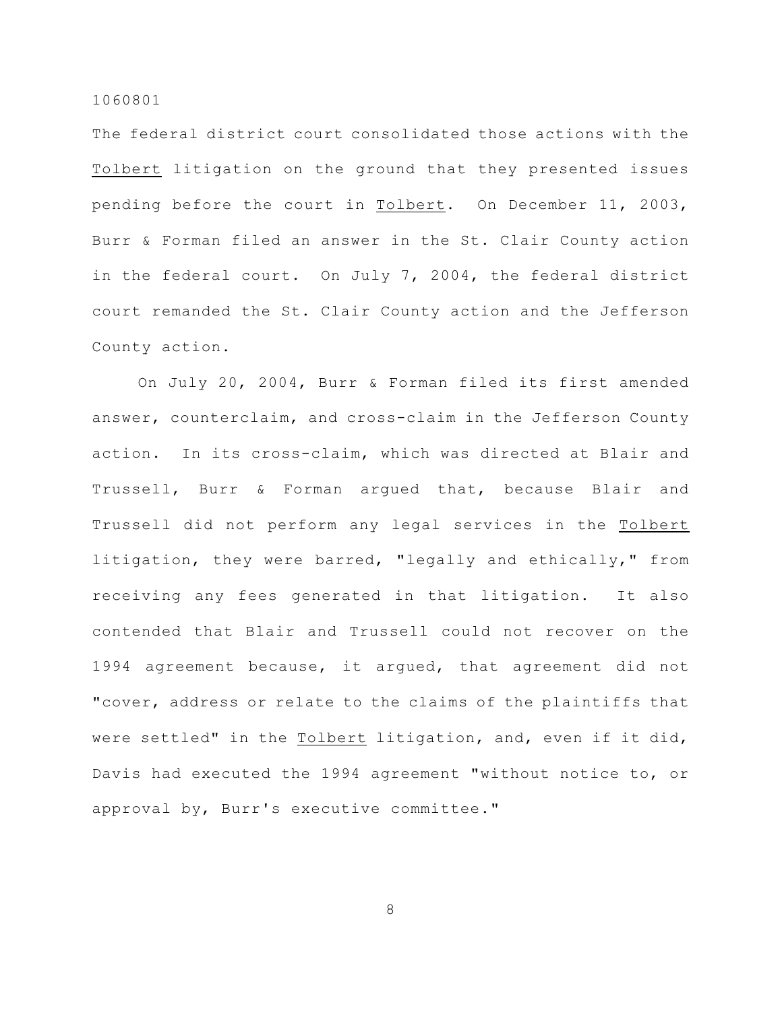The federal district court consolidated those actions with the Tolbert litigation on the ground that they presented issues pending before the court in Tolbert. On December 11, 2003, Burr & Forman filed an answer in the St. Clair County action in the federal court. On July 7, 2004, the federal district court remanded the St. Clair County action and the Jefferson County action.

On July 20, 2004, Burr & Forman filed its first amended answer, counterclaim, and cross-claim in the Jefferson County action. In its cross-claim, which was directed at Blair and Trussell, Burr & Forman argued that, because Blair and Trussell did not perform any legal services in the Tolbert litigation, they were barred, "legally and ethically," from receiving any fees generated in that litigation. It also contended that Blair and Trussell could not recover on the 1994 agreement because, it argued, that agreement did not "cover, address or relate to the claims of the plaintiffs that were settled" in the Tolbert litigation, and, even if it did, Davis had executed the 1994 agreement "without notice to, or approval by, Burr's executive committee."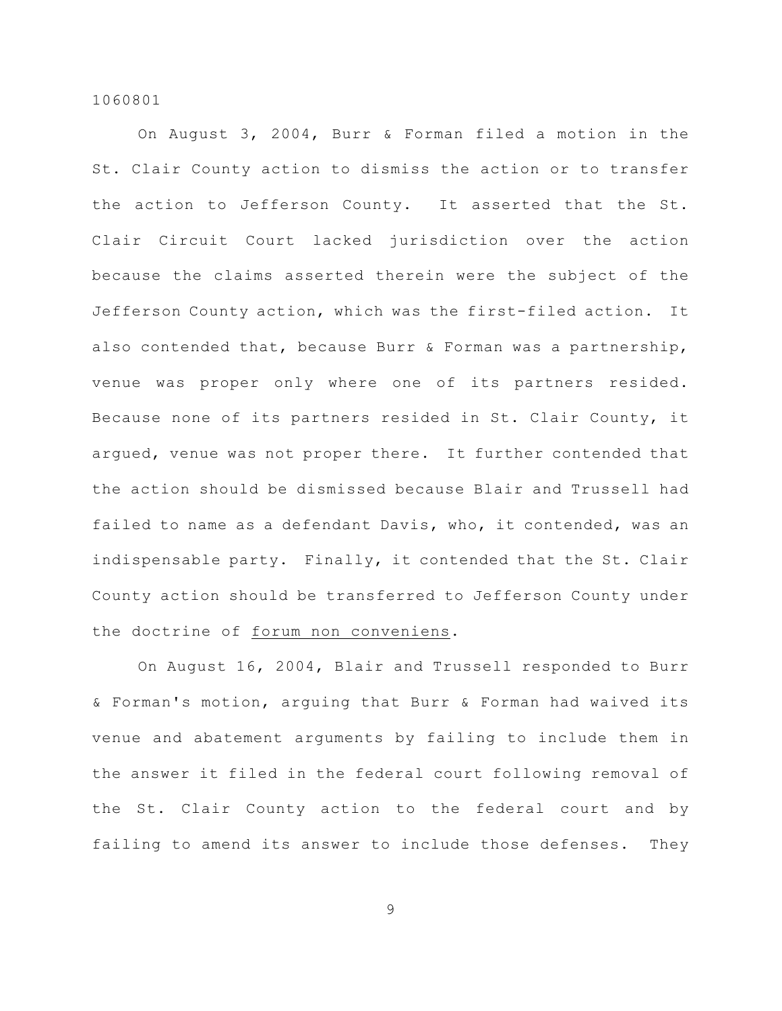On August 3, 2004, Burr & Forman filed a motion in the St. Clair County action to dismiss the action or to transfer the action to Jefferson County. It asserted that the St. Clair Circuit Court lacked jurisdiction over the action because the claims asserted therein were the subject of the Jefferson County action, which was the first-filed action. It also contended that, because Burr & Forman was a partnership, venue was proper only where one of its partners resided. Because none of its partners resided in St. Clair County, it argued, venue was not proper there. It further contended that the action should be dismissed because Blair and Trussell had failed to name as a defendant Davis, who, it contended, was an indispensable party. Finally, it contended that the St. Clair County action should be transferred to Jefferson County under the doctrine of forum non conveniens.

On August 16, 2004, Blair and Trussell responded to Burr & Forman's motion, arguing that Burr & Forman had waived its venue and abatement arguments by failing to include them in the answer it filed in the federal court following removal of the St. Clair County action to the federal court and by failing to amend its answer to include those defenses. They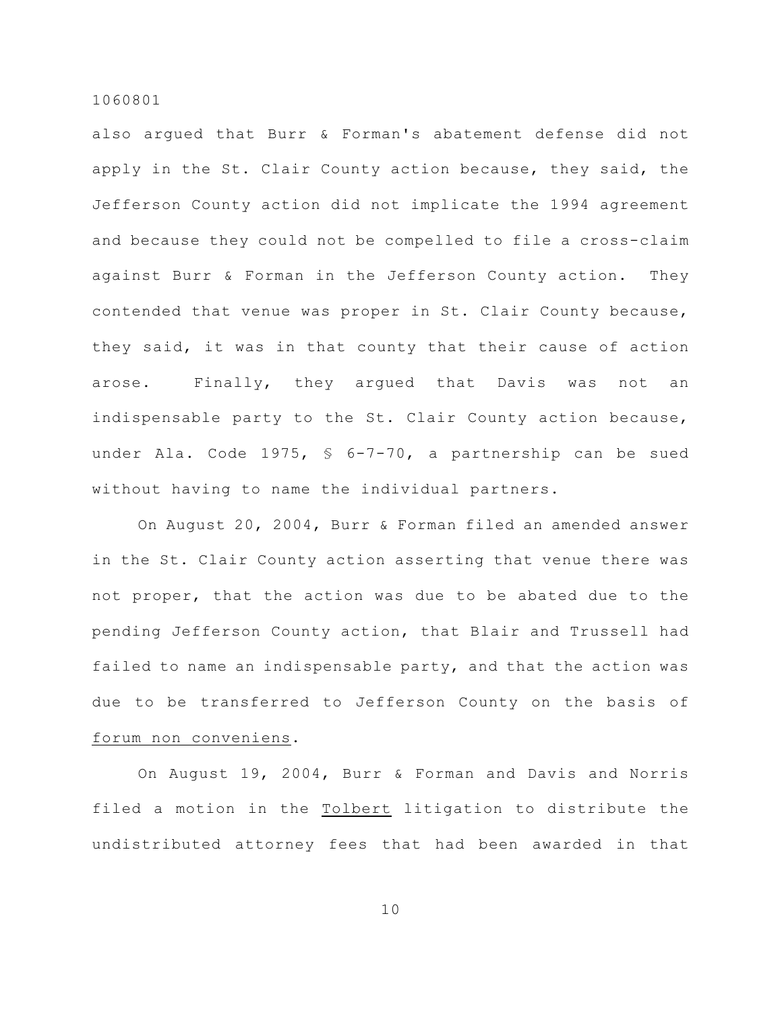also argued that Burr & Forman's abatement defense did not apply in the St. Clair County action because, they said, the Jefferson County action did not implicate the 1994 agreement and because they could not be compelled to file a cross-claim against Burr & Forman in the Jefferson County action. They contended that venue was proper in St. Clair County because, they said, it was in that county that their cause of action arose. Finally, they argued that Davis was not an indispensable party to the St. Clair County action because, under Ala. Code 1975, § 6-7-70, a partnership can be sued without having to name the individual partners.

On August 20, 2004, Burr & Forman filed an amended answer in the St. Clair County action asserting that venue there was not proper, that the action was due to be abated due to the pending Jefferson County action, that Blair and Trussell had failed to name an indispensable party, and that the action was due to be transferred to Jefferson County on the basis of forum non conveniens.

On August 19, 2004, Burr & Forman and Davis and Norris filed a motion in the Tolbert litigation to distribute the undistributed attorney fees that had been awarded in that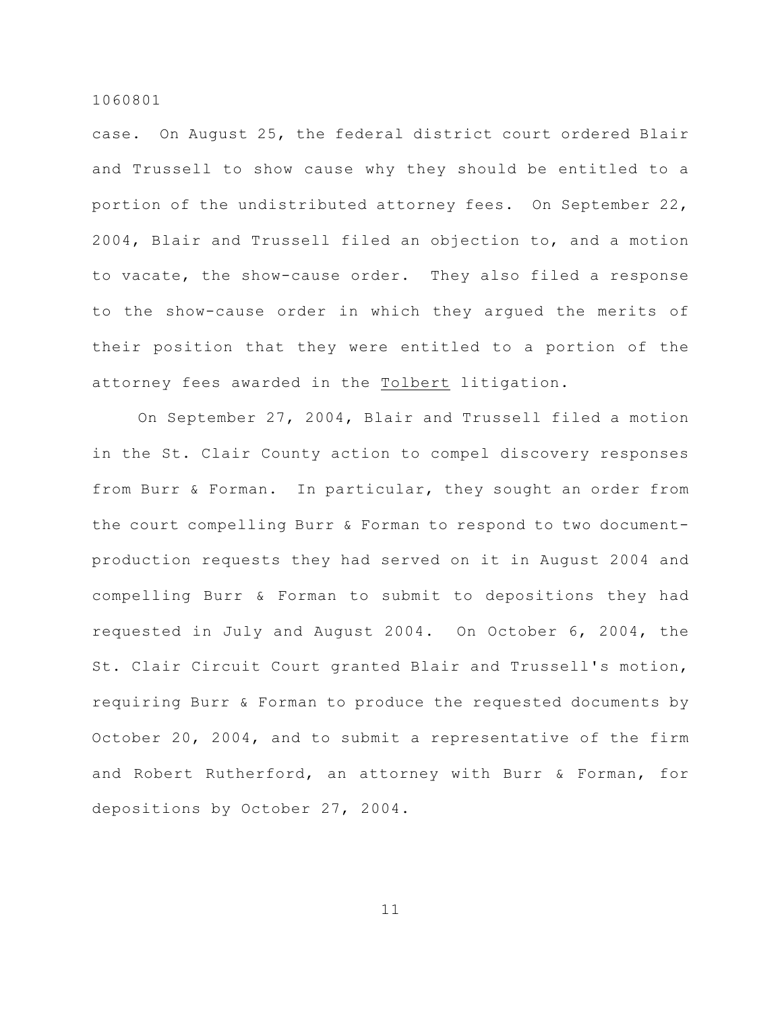case. On August 25, the federal district court ordered Blair and Trussell to show cause why they should be entitled to a portion of the undistributed attorney fees. On September 22, 2004, Blair and Trussell filed an objection to, and a motion to vacate, the show-cause order. They also filed a response to the show-cause order in which they argued the merits of their position that they were entitled to a portion of the attorney fees awarded in the Tolbert litigation.

On September 27, 2004, Blair and Trussell filed a motion in the St. Clair County action to compel discovery responses from Burr & Forman. In particular, they sought an order from the court compelling Burr & Forman to respond to two documentproduction requests they had served on it in August 2004 and compelling Burr & Forman to submit to depositions they had requested in July and August 2004. On October 6, 2004, the St. Clair Circuit Court granted Blair and Trussell's motion, requiring Burr & Forman to produce the requested documents by October 20, 2004, and to submit a representative of the firm and Robert Rutherford, an attorney with Burr & Forman, for depositions by October 27, 2004.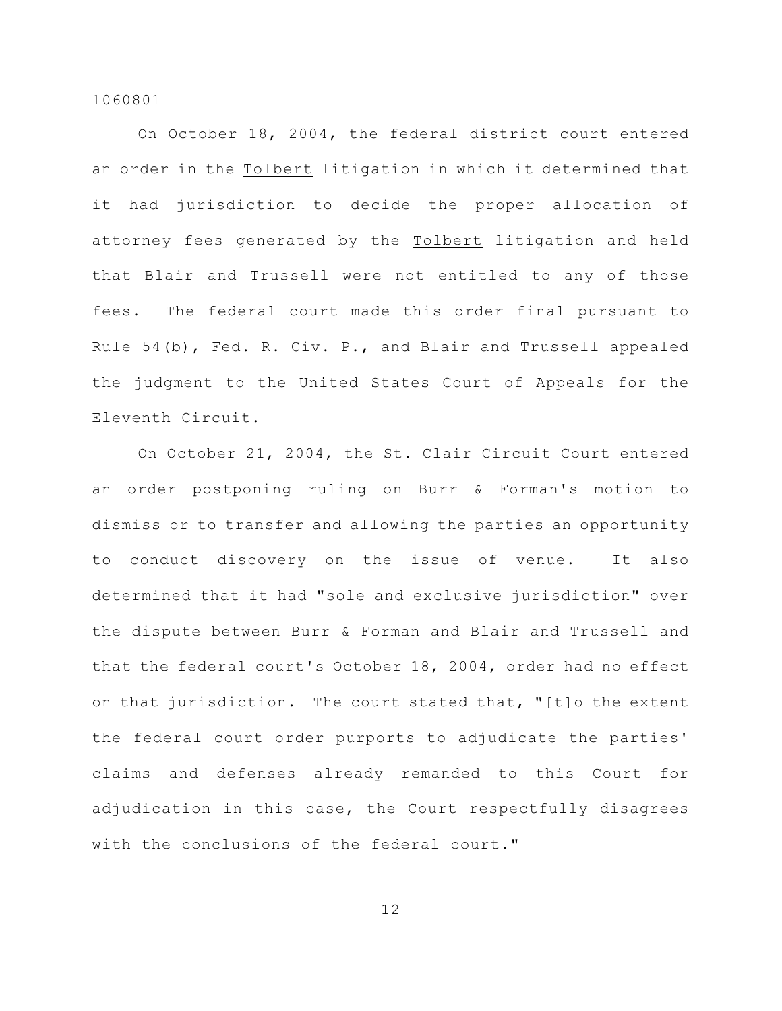On October 18, 2004, the federal district court entered an order in the Tolbert litigation in which it determined that it had jurisdiction to decide the proper allocation of attorney fees generated by the Tolbert litigation and held that Blair and Trussell were not entitled to any of those fees. The federal court made this order final pursuant to Rule 54(b), Fed. R. Civ. P., and Blair and Trussell appealed the judgment to the United States Court of Appeals for the Eleventh Circuit.

On October 21, 2004, the St. Clair Circuit Court entered an order postponing ruling on Burr & Forman's motion to dismiss or to transfer and allowing the parties an opportunity to conduct discovery on the issue of venue. It also determined that it had "sole and exclusive jurisdiction" over the dispute between Burr & Forman and Blair and Trussell and that the federal court's October 18, 2004, order had no effect on that jurisdiction. The court stated that, "[t]o the extent the federal court order purports to adjudicate the parties' claims and defenses already remanded to this Court for adjudication in this case, the Court respectfully disagrees with the conclusions of the federal court."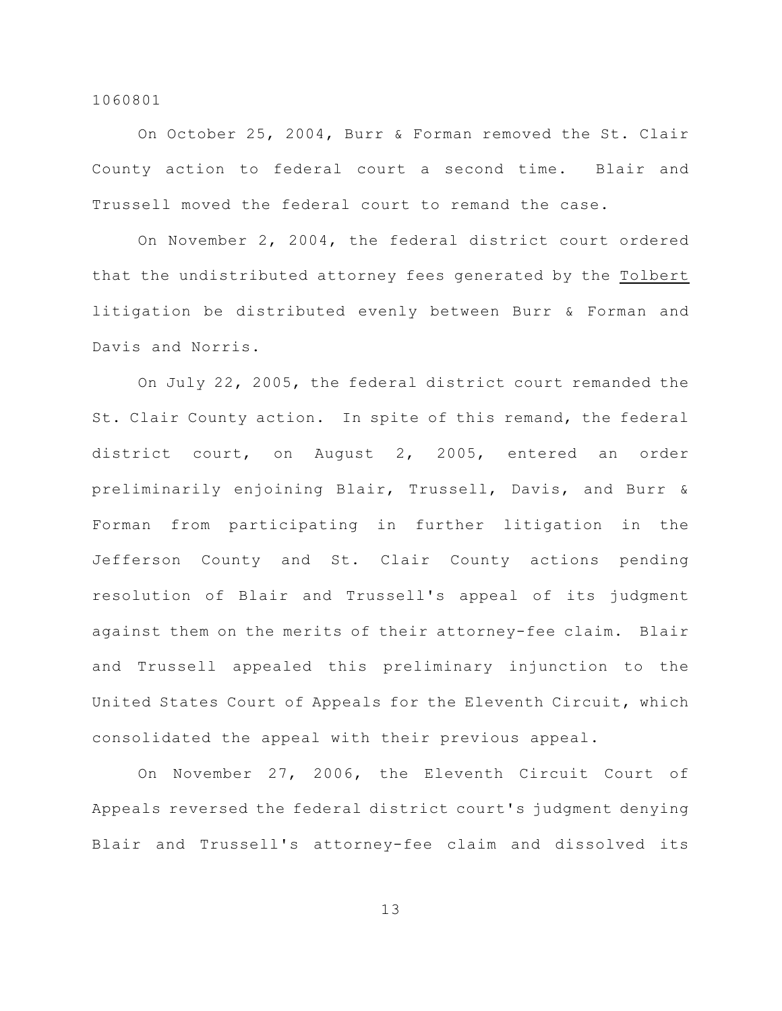On October 25, 2004, Burr & Forman removed the St. Clair County action to federal court a second time. Blair and Trussell moved the federal court to remand the case.

On November 2, 2004, the federal district court ordered that the undistributed attorney fees generated by the Tolbert litigation be distributed evenly between Burr & Forman and Davis and Norris.

On July 22, 2005, the federal district court remanded the St. Clair County action. In spite of this remand, the federal district court, on August 2, 2005, entered an order preliminarily enjoining Blair, Trussell, Davis, and Burr & Forman from participating in further litigation in the Jefferson County and St. Clair County actions pending resolution of Blair and Trussell's appeal of its judgment against them on the merits of their attorney-fee claim. Blair and Trussell appealed this preliminary injunction to the United States Court of Appeals for the Eleventh Circuit, which consolidated the appeal with their previous appeal.

On November 27, 2006, the Eleventh Circuit Court of Appeals reversed the federal district court's judgment denying Blair and Trussell's attorney-fee claim and dissolved its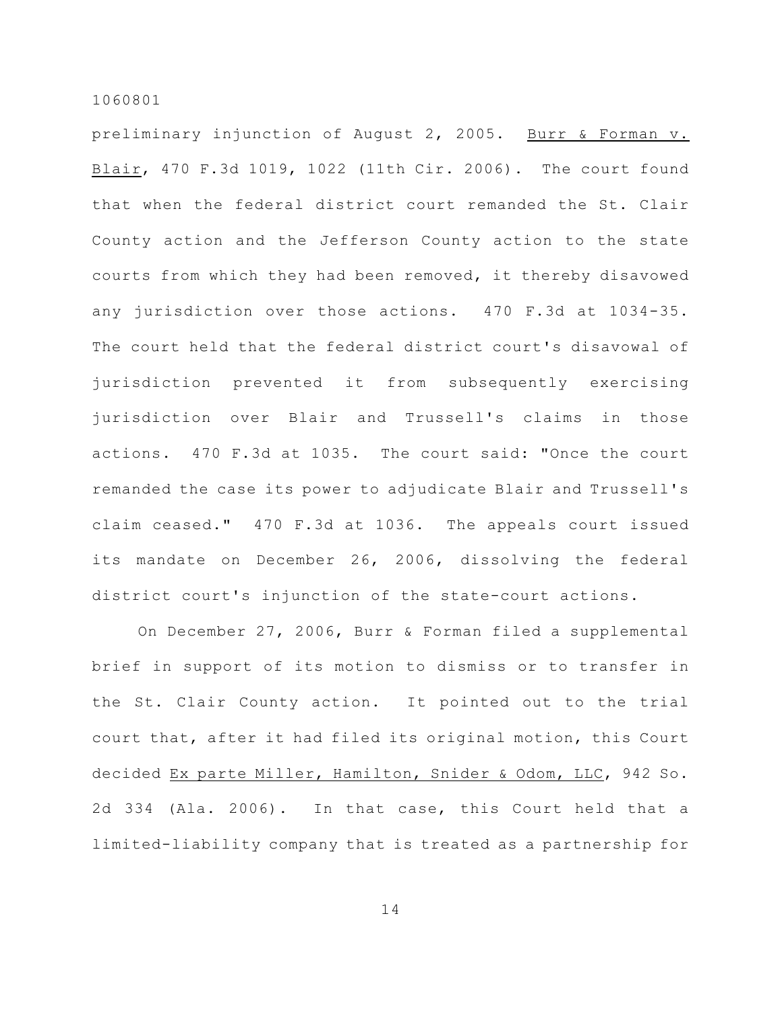preliminary injunction of August 2, 2005. Burr & Forman v. Blair, 470 F.3d 1019, 1022 (11th Cir. 2006). The court found that when the federal district court remanded the St. Clair County action and the Jefferson County action to the state courts from which they had been removed, it thereby disavowed any jurisdiction over those actions. 470 F.3d at 1034-35. The court held that the federal district court's disavowal of jurisdiction prevented it from subsequently exercising jurisdiction over Blair and Trussell's claims in those actions. 470 F.3d at 1035. The court said: "Once the court remanded the case its power to adjudicate Blair and Trussell's claim ceased." 470 F.3d at 1036. The appeals court issued its mandate on December 26, 2006, dissolving the federal district court's injunction of the state-court actions.

On December 27, 2006, Burr & Forman filed a supplemental brief in support of its motion to dismiss or to transfer in the St. Clair County action. It pointed out to the trial court that, after it had filed its original motion, this Court decided Ex parte Miller, Hamilton, Snider & Odom, LLC, 942 So. 2d 334 (Ala. 2006). In that case, this Court held that a limited-liability company that is treated as a partnership for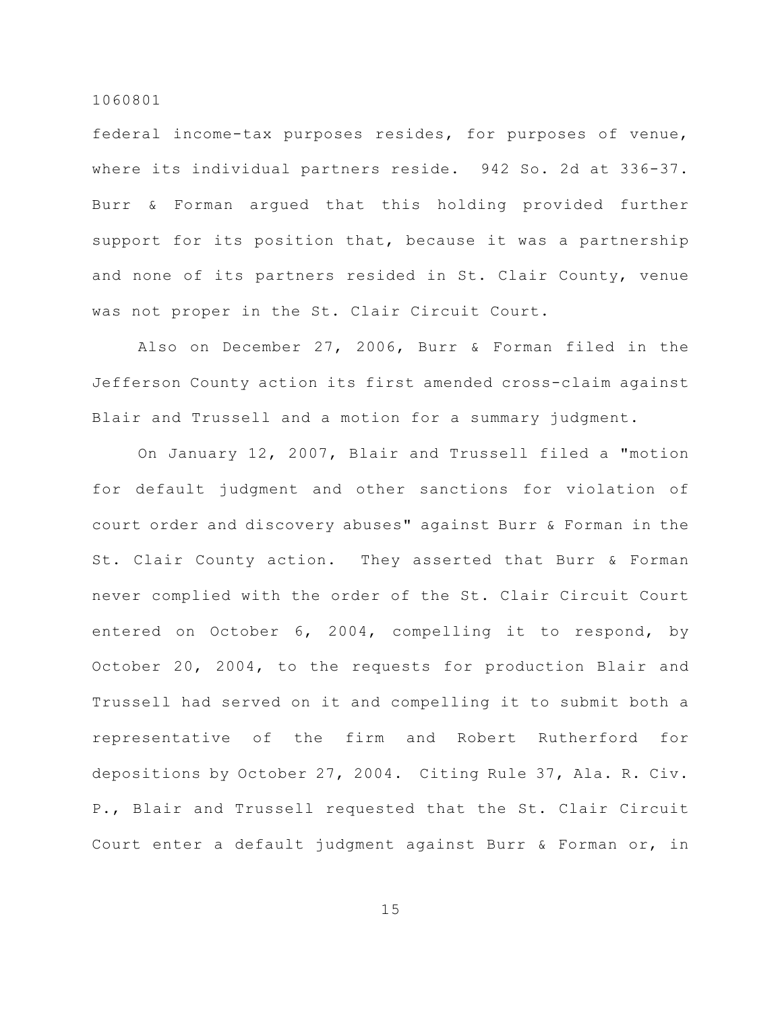federal income-tax purposes resides, for purposes of venue, where its individual partners reside. 942 So. 2d at 336-37. Burr & Forman argued that this holding provided further support for its position that, because it was a partnership and none of its partners resided in St. Clair County, venue was not proper in the St. Clair Circuit Court.

Also on December 27, 2006, Burr & Forman filed in the Jefferson County action its first amended cross-claim against Blair and Trussell and a motion for a summary judgment.

On January 12, 2007, Blair and Trussell filed a "motion for default judgment and other sanctions for violation of court order and discovery abuses" against Burr & Forman in the St. Clair County action. They asserted that Burr & Forman never complied with the order of the St. Clair Circuit Court entered on October 6, 2004, compelling it to respond, by October 20, 2004, to the requests for production Blair and Trussell had served on it and compelling it to submit both a representative of the firm and Robert Rutherford for depositions by October 27, 2004. Citing Rule 37, Ala. R. Civ. P., Blair and Trussell requested that the St. Clair Circuit Court enter a default judgment against Burr & Forman or, in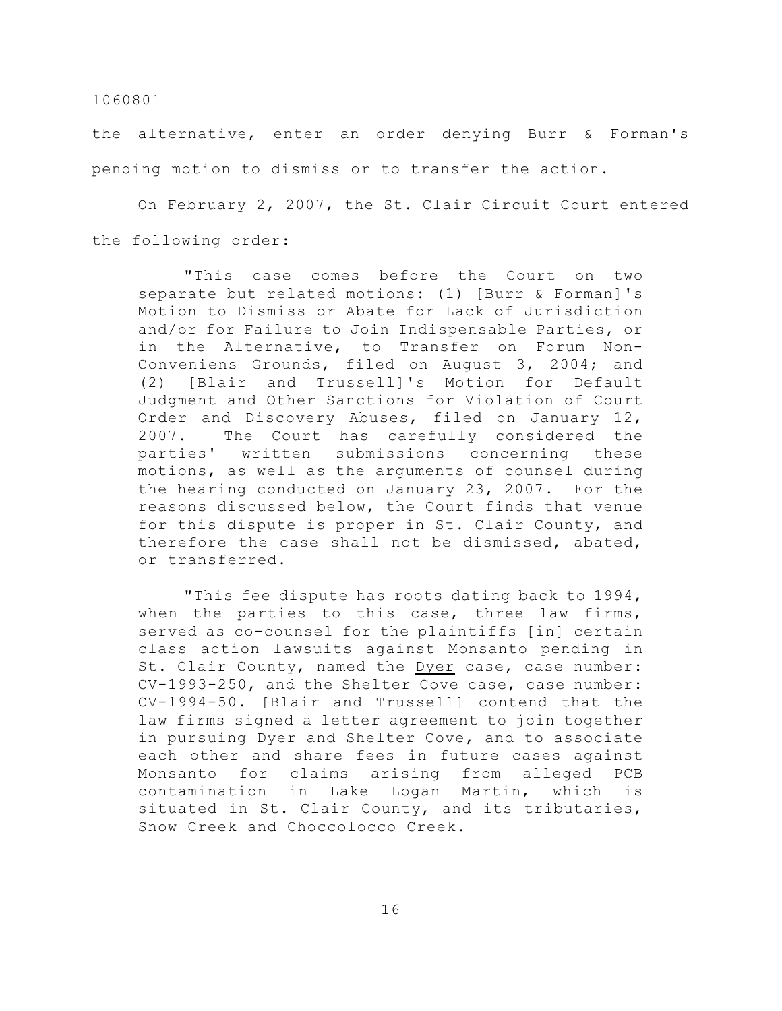the alternative, enter an order denying Burr & Forman's pending motion to dismiss or to transfer the action.

On February 2, 2007, the St. Clair Circuit Court entered the following order:

"This case comes before the Court on two separate but related motions: (1) [Burr & Forman]'s Motion to Dismiss or Abate for Lack of Jurisdiction and/or for Failure to Join Indispensable Parties, or in the Alternative, to Transfer on Forum Non-Conveniens Grounds, filed on August 3, 2004; and (2) [Blair and Trussell]'s Motion for Default Judgment and Other Sanctions for Violation of Court Order and Discovery Abuses, filed on January 12, 2007. The Court has carefully considered the parties' written submissions concerning these motions, as well as the arguments of counsel during the hearing conducted on January 23, 2007. For the reasons discussed below, the Court finds that venue for this dispute is proper in St. Clair County, and therefore the case shall not be dismissed, abated, or transferred.

"This fee dispute has roots dating back to 1994, when the parties to this case, three law firms, served as co-counsel for the plaintiffs [in] certain class action lawsuits against Monsanto pending in St. Clair County, named the Dyer case, case number: CV-1993-250, and the Shelter Cove case, case number: CV-1994-50. [Blair and Trussell] contend that the law firms signed a letter agreement to join together in pursuing Dyer and Shelter Cove, and to associate each other and share fees in future cases against Monsanto for claims arising from alleged PCB contamination in Lake Logan Martin, which is situated in St. Clair County, and its tributaries, Snow Creek and Choccolocco Creek.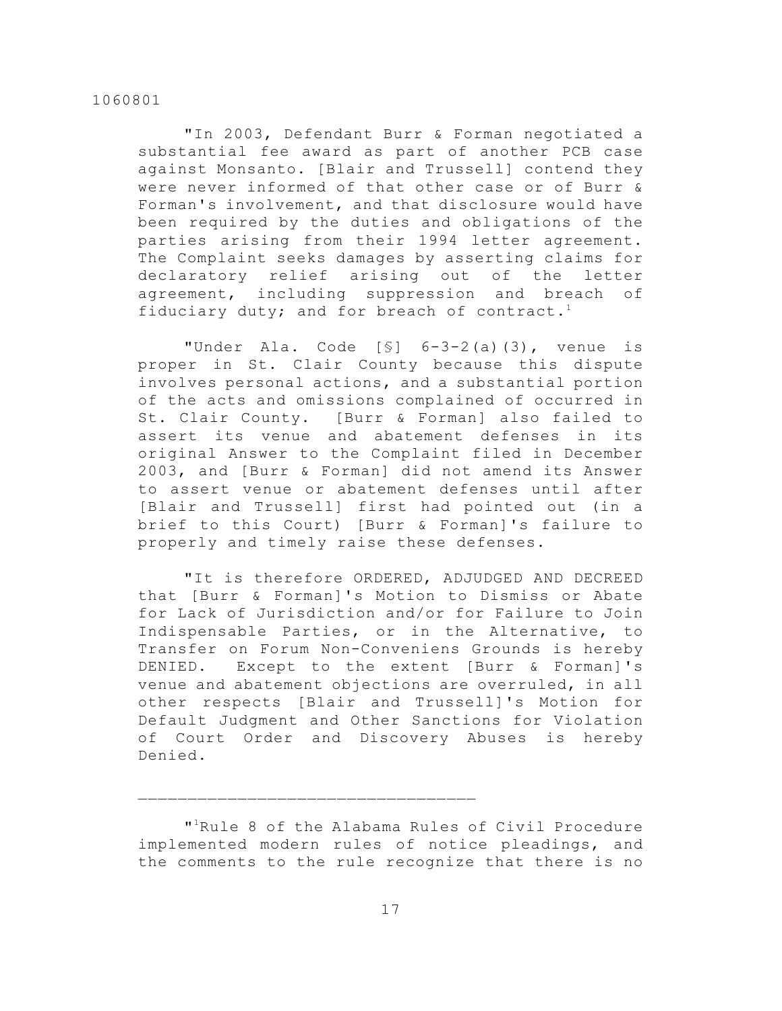"In 2003, Defendant Burr & Forman negotiated a substantial fee award as part of another PCB case against Monsanto. [Blair and Trussell] contend they were never informed of that other case or of Burr & Forman's involvement, and that disclosure would have been required by the duties and obligations of the parties arising from their 1994 letter agreement. The Complaint seeks damages by asserting claims for declaratory relief arising out of the letter agreement, including suppression and breach of fiduciary duty; and for breach of contract.<sup>1</sup>

"Under Ala. Code [§] 6-3-2(a)(3), venue is proper in St. Clair County because this dispute involves personal actions, and a substantial portion of the acts and omissions complained of occurred in St. Clair County. [Burr & Forman] also failed to assert its venue and abatement defenses in its original Answer to the Complaint filed in December 2003, and [Burr & Forman] did not amend its Answer to assert venue or abatement defenses until after [Blair and Trussell] first had pointed out (in a brief to this Court) [Burr & Forman]'s failure to properly and timely raise these defenses.

"It is therefore ORDERED, ADJUDGED AND DECREED that [Burr & Forman]'s Motion to Dismiss or Abate for Lack of Jurisdiction and/or for Failure to Join Indispensable Parties, or in the Alternative, to Transfer on Forum Non-Conveniens Grounds is hereby DENIED. Except to the extent [Burr & Forman]'s venue and abatement objections are overruled, in all other respects [Blair and Trussell]'s Motion for Default Judgment and Other Sanctions for Violation of Court Order and Discovery Abuses is hereby Denied.

"<sup>1</sup>Rule 8 of the Alabama Rules of Civil Procedure implemented modern rules of notice pleadings, and the comments to the rule recognize that there is no

 $\mathcal{L}_\text{max}$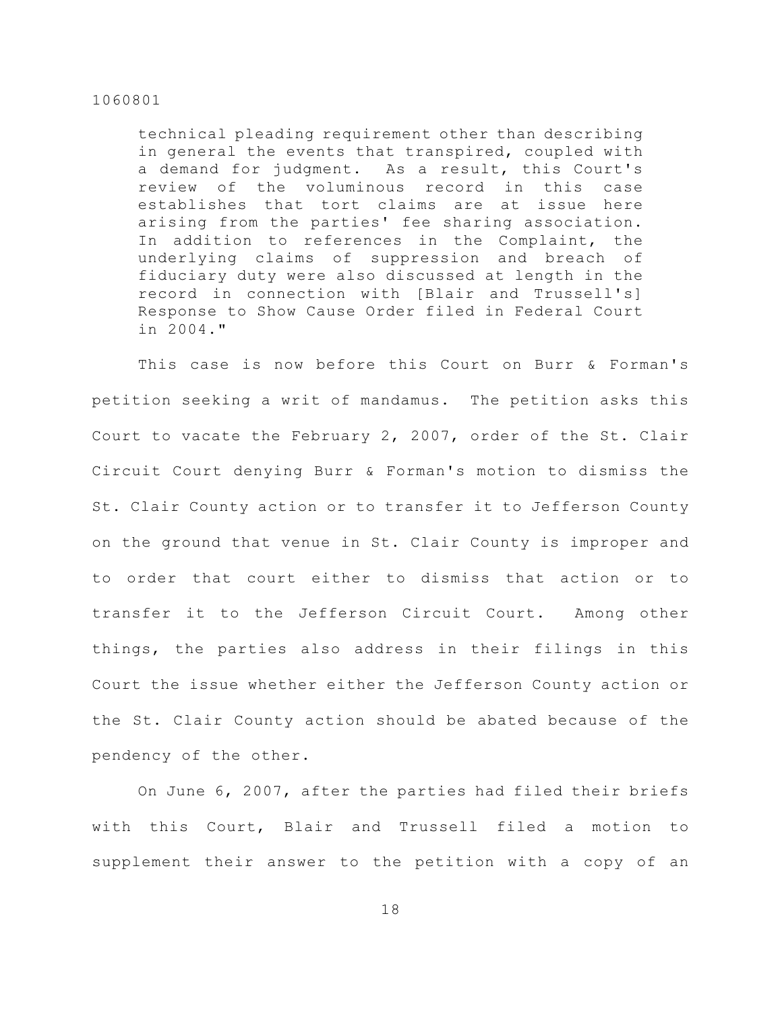technical pleading requirement other than describing in general the events that transpired, coupled with a demand for judgment. As a result, this Court's review of the voluminous record in this case establishes that tort claims are at issue here arising from the parties' fee sharing association. In addition to references in the Complaint, the underlying claims of suppression and breach of fiduciary duty were also discussed at length in the record in connection with [Blair and Trussell's] Response to Show Cause Order filed in Federal Court in 2004."

This case is now before this Court on Burr & Forman's petition seeking a writ of mandamus. The petition asks this Court to vacate the February 2, 2007, order of the St. Clair Circuit Court denying Burr & Forman's motion to dismiss the St. Clair County action or to transfer it to Jefferson County on the ground that venue in St. Clair County is improper and to order that court either to dismiss that action or to transfer it to the Jefferson Circuit Court. Among other things, the parties also address in their filings in this Court the issue whether either the Jefferson County action or the St. Clair County action should be abated because of the pendency of the other.

On June 6, 2007, after the parties had filed their briefs with this Court, Blair and Trussell filed a motion to supplement their answer to the petition with a copy of an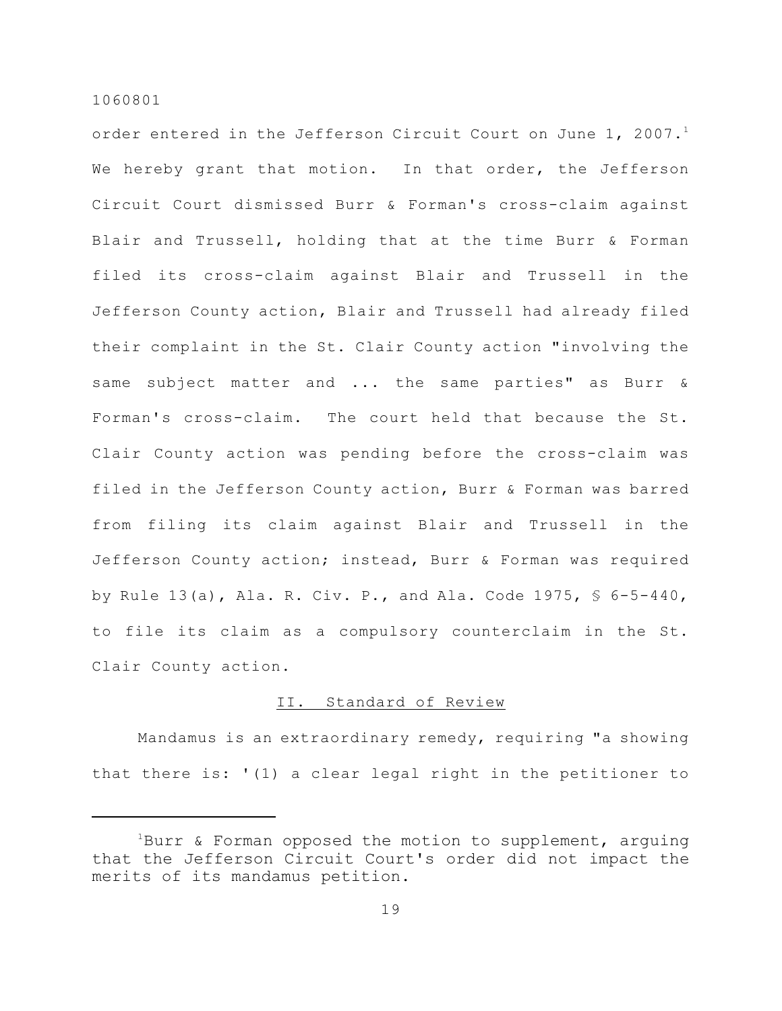order entered in the Jefferson Circuit Court on June 1, 2007.<sup>1</sup> We hereby grant that motion. In that order, the Jefferson Circuit Court dismissed Burr & Forman's cross-claim against Blair and Trussell, holding that at the time Burr & Forman filed its cross-claim against Blair and Trussell in the Jefferson County action, Blair and Trussell had already filed their complaint in the St. Clair County action "involving the same subject matter and ... the same parties" as Burr & Forman's cross-claim. The court held that because the St. Clair County action was pending before the cross-claim was filed in the Jefferson County action, Burr & Forman was barred from filing its claim against Blair and Trussell in the Jefferson County action; instead, Burr & Forman was required by Rule 13(a), Ala. R. Civ. P., and Ala. Code 1975,  $\frac{6}{5}$  6-5-440, to file its claim as a compulsory counterclaim in the St. Clair County action.

## II. Standard of Review

Mandamus is an extraordinary remedy, requiring "a showing that there is: '(1) a clear legal right in the petitioner to

 $1$ Burr & Forman opposed the motion to supplement, arguing that the Jefferson Circuit Court's order did not impact the merits of its mandamus petition.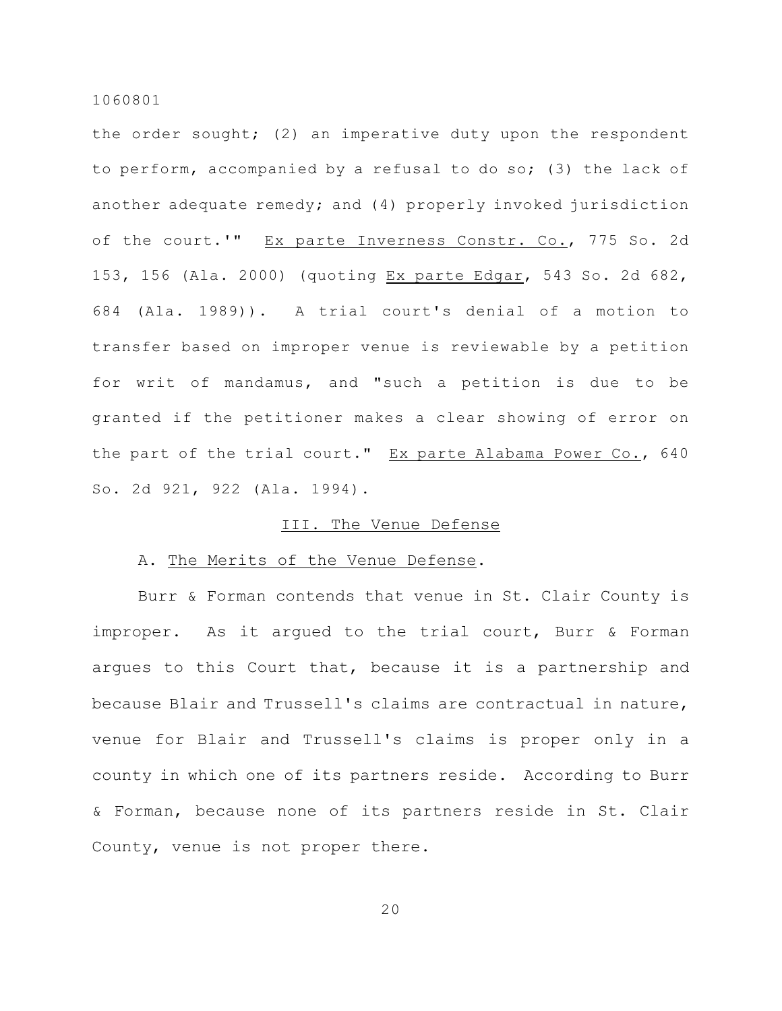the order sought; (2) an imperative duty upon the respondent to perform, accompanied by a refusal to do so; (3) the lack of another adequate remedy; and (4) properly invoked jurisdiction of the court.'" Ex parte Inverness Constr. Co., 775 So. 2d 153, 156 (Ala. 2000) (quoting Ex parte Edgar, 543 So. 2d 682, 684 (Ala. 1989)). A trial court's denial of a motion to transfer based on improper venue is reviewable by a petition for writ of mandamus, and "such a petition is due to be granted if the petitioner makes a clear showing of error on the part of the trial court." Ex parte Alabama Power Co., 640 So. 2d 921, 922 (Ala. 1994).

## III. The Venue Defense

## A. The Merits of the Venue Defense.

Burr & Forman contends that venue in St. Clair County is improper. As it argued to the trial court, Burr & Forman argues to this Court that, because it is a partnership and because Blair and Trussell's claims are contractual in nature, venue for Blair and Trussell's claims is proper only in a county in which one of its partners reside. According to Burr & Forman, because none of its partners reside in St. Clair County, venue is not proper there.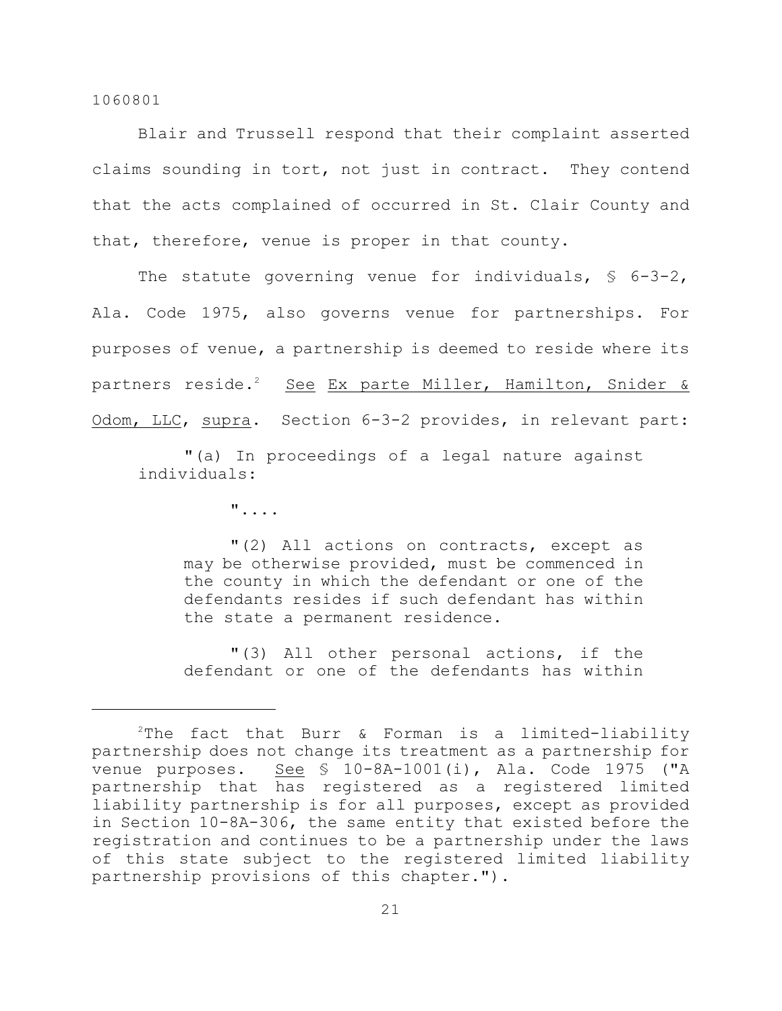Blair and Trussell respond that their complaint asserted claims sounding in tort, not just in contract. They contend that the acts complained of occurred in St. Clair County and that, therefore, venue is proper in that county.

The statute governing venue for individuals,  $\S$  6-3-2, Ala. Code 1975, also governs venue for partnerships. For purposes of venue, a partnership is deemed to reside where its partners reside.<sup>2</sup> See Ex parte Miller, Hamilton, Snider & Odom, LLC, supra. Section 6-3-2 provides, in relevant part:

"(a) In proceedings of a legal nature against individuals:

"....

"(2) All actions on contracts, except as may be otherwise provided, must be commenced in the county in which the defendant or one of the defendants resides if such defendant has within the state a permanent residence.

"(3) All other personal actions, if the defendant or one of the defendants has within

 $2$ The fact that Burr & Forman is a limited-liability partnership does not change its treatment as a partnership for venue purposes. See § 10-8A-1001(i), Ala. Code 1975 ("A partnership that has registered as a registered limited liability partnership is for all purposes, except as provided in Section 10-8A-306, the same entity that existed before the registration and continues to be a partnership under the laws of this state subject to the registered limited liability partnership provisions of this chapter.").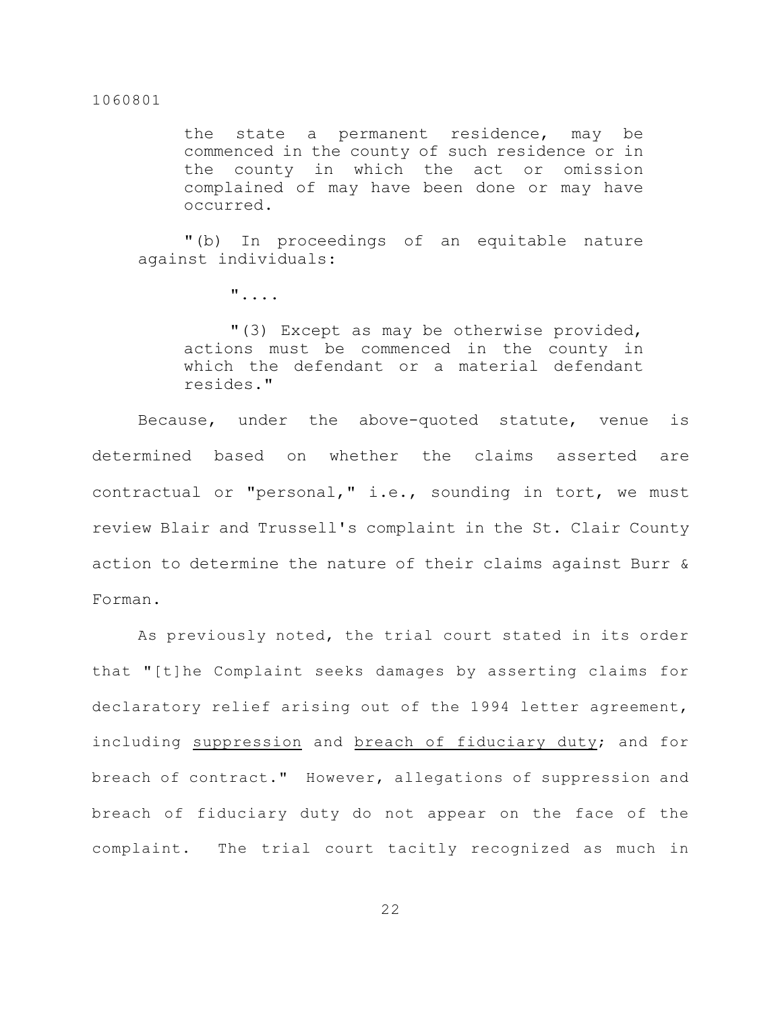the state a permanent residence, may be commenced in the county of such residence or in the county in which the act or omission complained of may have been done or may have occurred.

"(b) In proceedings of an equitable nature against individuals:

"....

"(3) Except as may be otherwise provided, actions must be commenced in the county in which the defendant or a material defendant resides."

Because, under the above-quoted statute, venue is determined based on whether the claims asserted are contractual or "personal," i.e., sounding in tort, we must review Blair and Trussell's complaint in the St. Clair County action to determine the nature of their claims against Burr & Forman.

As previously noted, the trial court stated in its order that "[t]he Complaint seeks damages by asserting claims for declaratory relief arising out of the 1994 letter agreement, including suppression and breach of fiduciary duty; and for breach of contract." However, allegations of suppression and breach of fiduciary duty do not appear on the face of the complaint. The trial court tacitly recognized as much in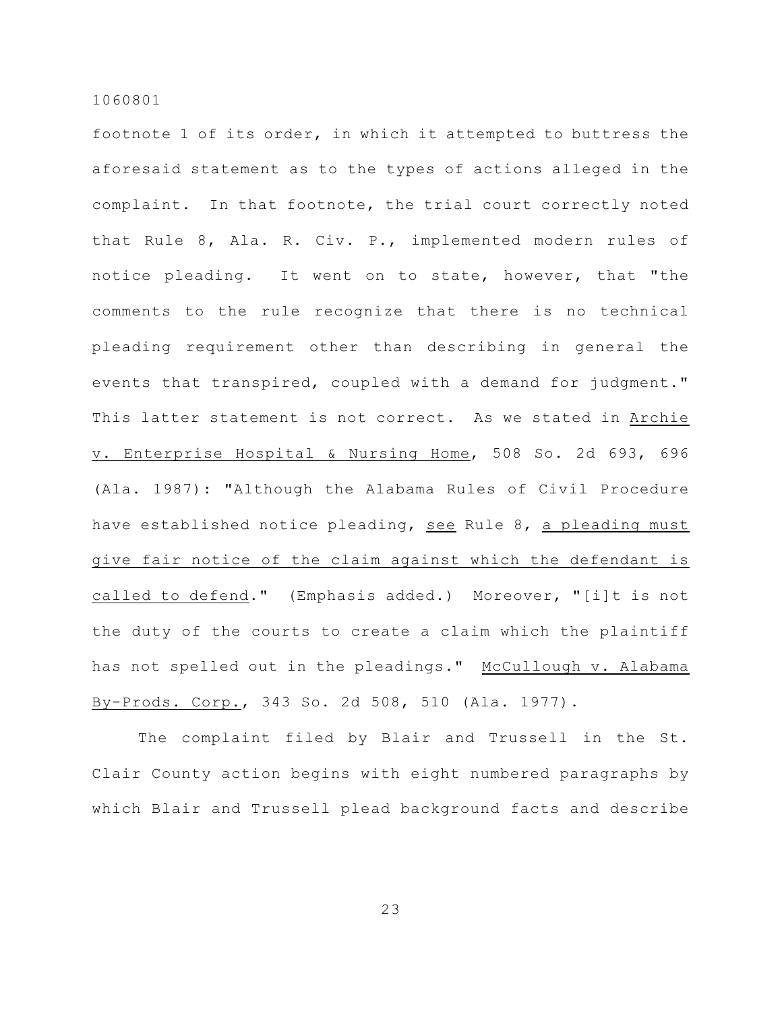footnote 1 of its order, in which it attempted to buttress the aforesaid statement as to the types of actions alleged in the complaint. In that footnote, the trial court correctly noted that Rule 8, Ala. R. Civ. P., implemented modern rules of notice pleading. It went on to state, however, that "the comments to the rule recognize that there is no technical pleading requirement other than describing in general the events that transpired, coupled with a demand for judgment." This latter statement is not correct. As we stated in Archie v. Enterprise Hospital & Nursing Home, 508 So. 2d 693, 696 (Ala. 1987): "Although the Alabama Rules of Civil Procedure have established notice pleading, see Rule 8, a pleading must give fair notice of the claim against which the defendant is called to defend." (Emphasis added.) Moreover, "[i]t is not the duty of the courts to create a claim which the plaintiff has not spelled out in the pleadings." McCullough v. Alabama By-Prods. Corp., 343 So. 2d 508, 510 (Ala. 1977).

The complaint filed by Blair and Trussell in the St. Clair County action begins with eight numbered paragraphs by which Blair and Trussell plead background facts and describe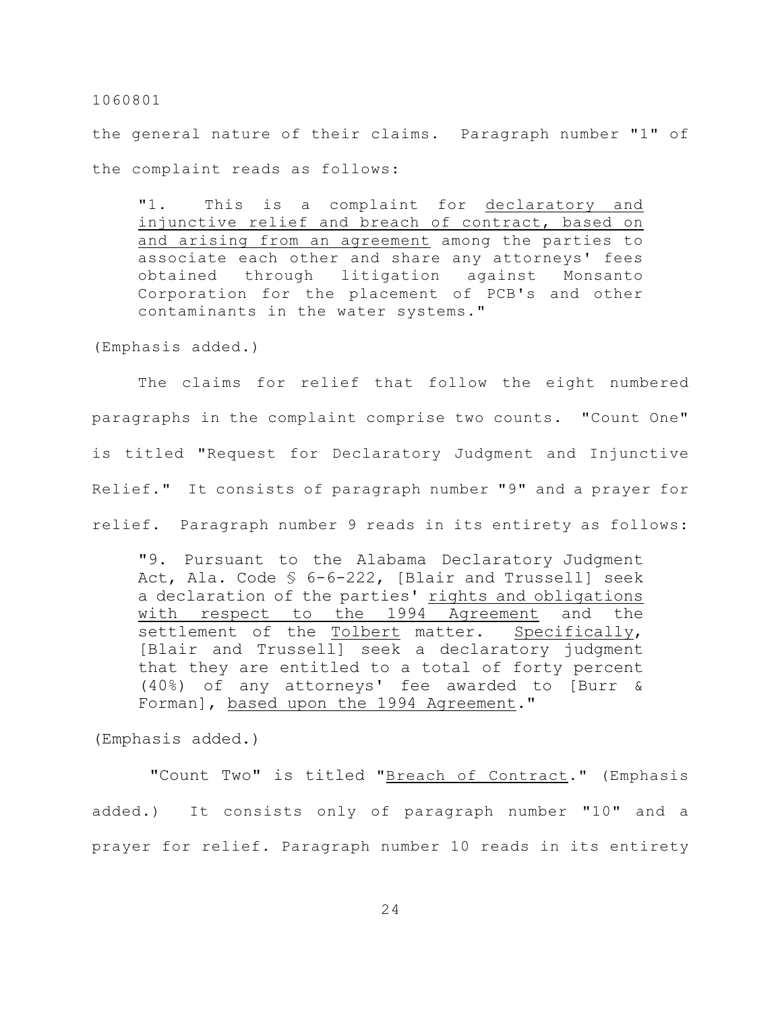the general nature of their claims. Paragraph number "1" of the complaint reads as follows:

"1. This is a complaint for declaratory and injunctive relief and breach of contract, based on and arising from an agreement among the parties to associate each other and share any attorneys' fees obtained through litigation against Monsanto Corporation for the placement of PCB's and other contaminants in the water systems."

(Emphasis added.)

The claims for relief that follow the eight numbered paragraphs in the complaint comprise two counts. "Count One" is titled "Request for Declaratory Judgment and Injunctive Relief." It consists of paragraph number "9" and a prayer for relief. Paragraph number 9 reads in its entirety as follows:

"9. Pursuant to the Alabama Declaratory Judgment Act, Ala. Code § 6-6-222, [Blair and Trussell] seek a declaration of the parties' rights and obligations with respect to the 1994 Agreement and the settlement of the Tolbert matter. Specifically, [Blair and Trussell] seek a declaratory judgment that they are entitled to a total of forty percent (40%) of any attorneys' fee awarded to [Burr & Forman], based upon the 1994 Agreement."

(Emphasis added.)

 "Count Two" is titled "Breach of Contract." (Emphasis added.) It consists only of paragraph number "10" and a prayer for relief. Paragraph number 10 reads in its entirety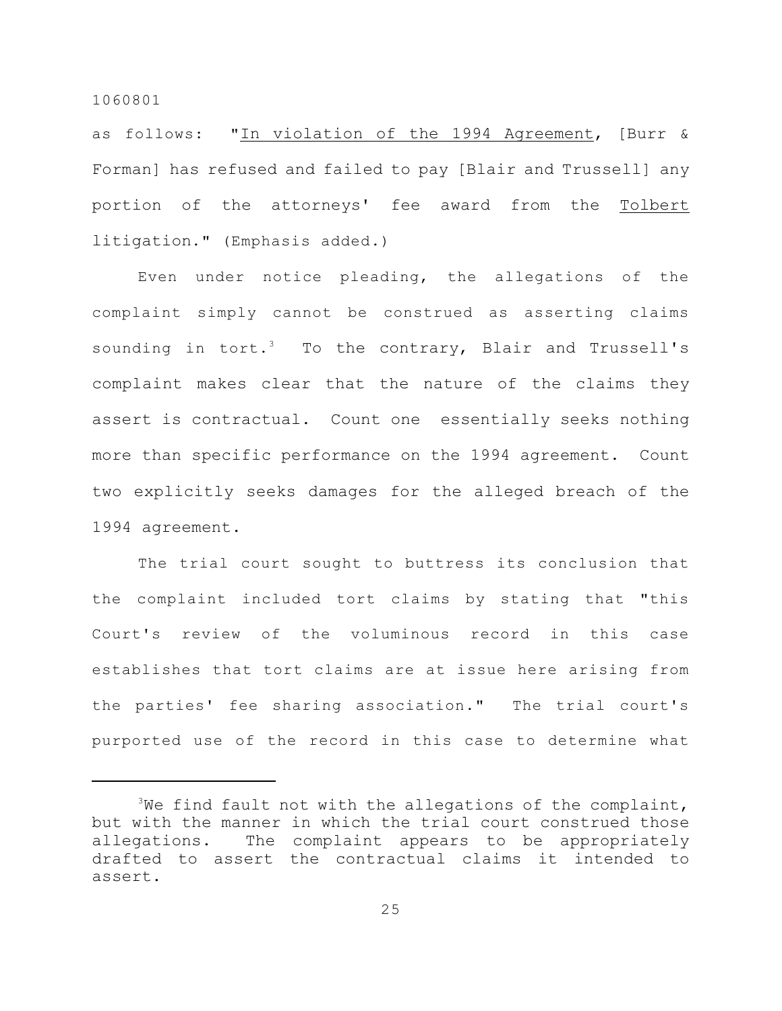as follows: "In violation of the 1994 Agreement, [Burr & Forman] has refused and failed to pay [Blair and Trussell] any portion of the attorneys' fee award from the Tolbert litigation." (Emphasis added.)

Even under notice pleading, the allegations of the complaint simply cannot be construed as asserting claims sounding in tort.<sup>3</sup> To the contrary, Blair and Trussell's complaint makes clear that the nature of the claims they assert is contractual. Count one essentially seeks nothing more than specific performance on the 1994 agreement. Count two explicitly seeks damages for the alleged breach of the 1994 agreement.

The trial court sought to buttress its conclusion that the complaint included tort claims by stating that "this Court's review of the voluminous record in this case establishes that tort claims are at issue here arising from the parties' fee sharing association." The trial court's purported use of the record in this case to determine what

 $3$ We find fault not with the allegations of the complaint, but with the manner in which the trial court construed those allegations. The complaint appears to be appropriately drafted to assert the contractual claims it intended to assert.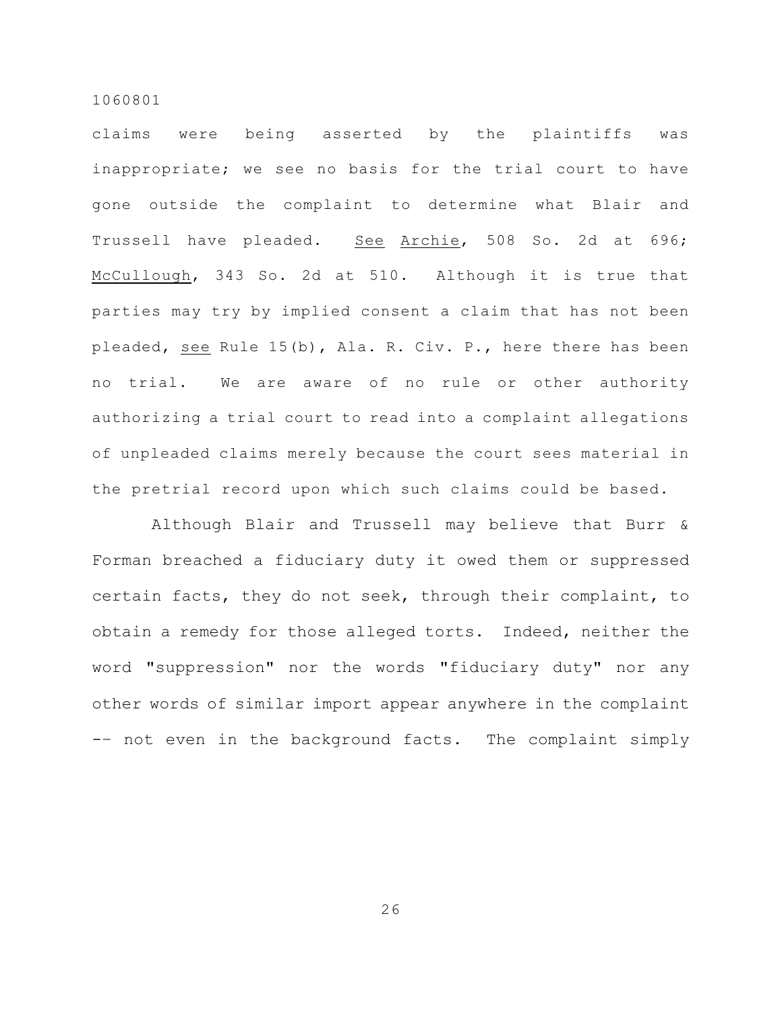claims were being asserted by the plaintiffs was inappropriate; we see no basis for the trial court to have gone outside the complaint to determine what Blair and Trussell have pleaded. See Archie, 508 So. 2d at 696; McCullough, 343 So. 2d at 510. Although it is true that parties may try by implied consent a claim that has not been pleaded, see Rule 15(b), Ala. R. Civ. P., here there has been no trial. We are aware of no rule or other authority authorizing a trial court to read into a complaint allegations of unpleaded claims merely because the court sees material in the pretrial record upon which such claims could be based.

 Although Blair and Trussell may believe that Burr & Forman breached a fiduciary duty it owed them or suppressed certain facts, they do not seek, through their complaint, to obtain a remedy for those alleged torts. Indeed, neither the word "suppression" nor the words "fiduciary duty" nor any other words of similar import appear anywhere in the complaint -– not even in the background facts. The complaint simply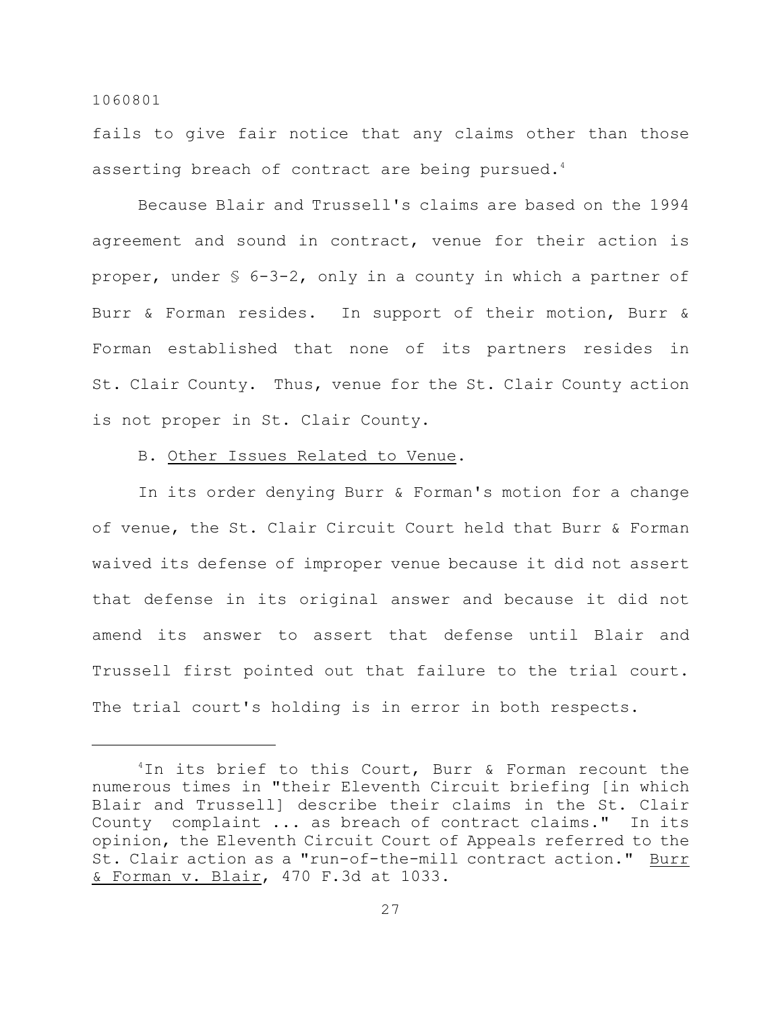fails to give fair notice that any claims other than those asserting breach of contract are being pursued.<sup>4</sup>

Because Blair and Trussell's claims are based on the 1994 agreement and sound in contract, venue for their action is proper, under § 6-3-2, only in a county in which a partner of Burr & Forman resides. In support of their motion, Burr & Forman established that none of its partners resides in St. Clair County. Thus, venue for the St. Clair County action is not proper in St. Clair County.

B. Other Issues Related to Venue.

In its order denying Burr & Forman's motion for a change of venue, the St. Clair Circuit Court held that Burr & Forman waived its defense of improper venue because it did not assert that defense in its original answer and because it did not amend its answer to assert that defense until Blair and Trussell first pointed out that failure to the trial court. The trial court's holding is in error in both respects.

 $1$ In its brief to this Court, Burr & Forman recount the numerous times in "their Eleventh Circuit briefing [in which Blair and Trussell] describe their claims in the St. Clair County complaint ... as breach of contract claims." In its opinion, the Eleventh Circuit Court of Appeals referred to the St. Clair action as a "run-of-the-mill contract action." Burr & Forman v. Blair, 470 F.3d at 1033.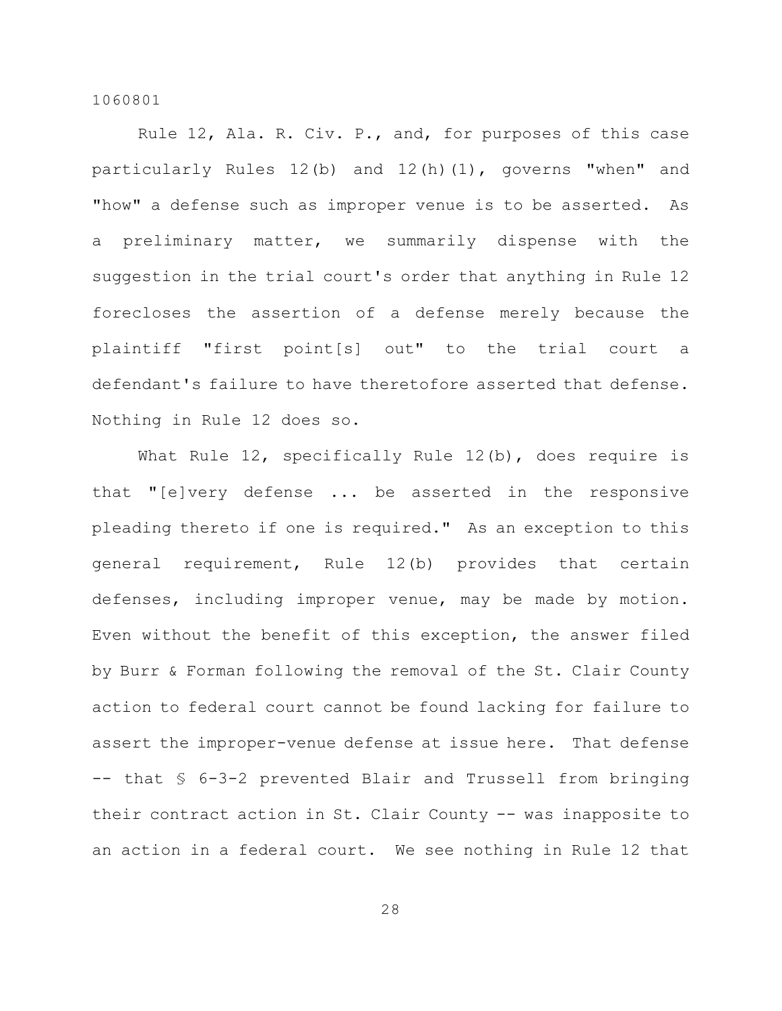Rule 12, Ala. R. Civ. P., and, for purposes of this case particularly Rules 12(b) and 12(h)(1), governs "when" and "how" a defense such as improper venue is to be asserted. As a preliminary matter, we summarily dispense with the suggestion in the trial court's order that anything in Rule 12 forecloses the assertion of a defense merely because the plaintiff "first point[s] out" to the trial court a defendant's failure to have theretofore asserted that defense. Nothing in Rule 12 does so.

What Rule 12, specifically Rule 12(b), does require is that "[e]very defense ... be asserted in the responsive pleading thereto if one is required." As an exception to this general requirement, Rule 12(b) provides that certain defenses, including improper venue, may be made by motion. Even without the benefit of this exception, the answer filed by Burr & Forman following the removal of the St. Clair County action to federal court cannot be found lacking for failure to assert the improper-venue defense at issue here. That defense -- that § 6-3-2 prevented Blair and Trussell from bringing their contract action in St. Clair County -- was inapposite to an action in a federal court. We see nothing in Rule 12 that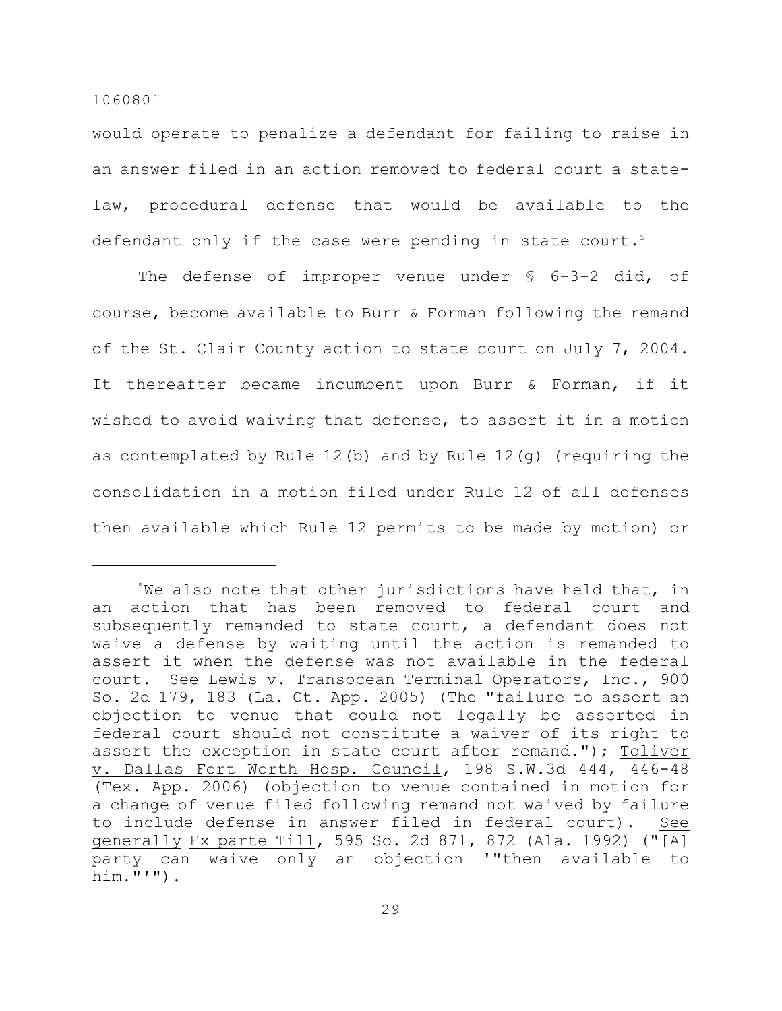would operate to penalize a defendant for failing to raise in an answer filed in an action removed to federal court a statelaw, procedural defense that would be available to the defendant only if the case were pending in state court. 5

The defense of improper venue under § 6-3-2 did, of course, become available to Burr & Forman following the remand of the St. Clair County action to state court on July 7, 2004. It thereafter became incumbent upon Burr & Forman, if it wished to avoid waiving that defense, to assert it in a motion as contemplated by Rule 12(b) and by Rule 12(g) (requiring the consolidation in a motion filed under Rule 12 of all defenses then available which Rule 12 permits to be made by motion) or

 $5$ We also note that other jurisdictions have held that, in an action that has been removed to federal court and subsequently remanded to state court, a defendant does not waive a defense by waiting until the action is remanded to assert it when the defense was not available in the federal court. See Lewis v. Transocean Terminal Operators, Inc., 900 So. 2d 179, 183 (La. Ct. App. 2005) (The "failure to assert an objection to venue that could not legally be asserted in federal court should not constitute a waiver of its right to assert the exception in state court after remand."); Toliver v. Dallas Fort Worth Hosp. Council, 198 S.W.3d 444, 446-48 (Tex. App. 2006) (objection to venue contained in motion for a change of venue filed following remand not waived by failure to include defense in answer filed in federal court). See generally Ex parte Till, 595 So. 2d 871, 872 (Ala. 1992) ("[A] party can waive only an objection '"then available to him."'").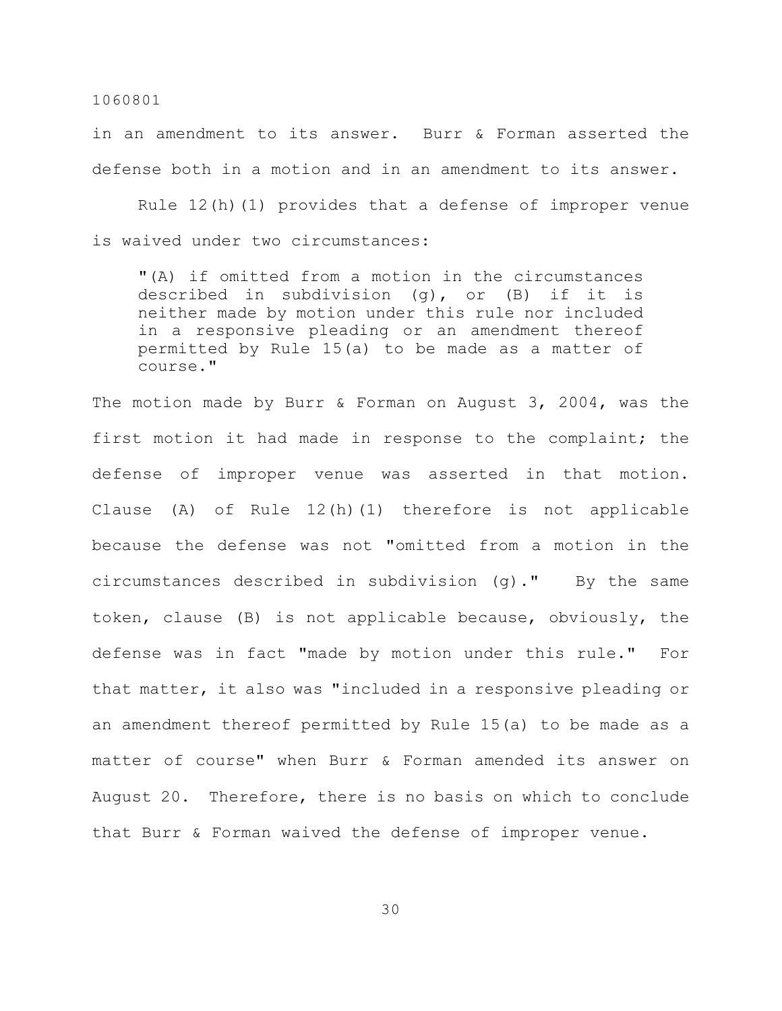in an amendment to its answer. Burr & Forman asserted the defense both in a motion and in an amendment to its answer.

Rule  $12(h)(1)$  provides that a defense of improper venue is waived under two circumstances:

"(A) if omitted from a motion in the circumstances described in subdivision (g), or (B) if it is neither made by motion under this rule nor included in a responsive pleading or an amendment thereof permitted by Rule 15(a) to be made as a matter of course."

The motion made by Burr & Forman on August 3, 2004, was the first motion it had made in response to the complaint; the defense of improper venue was asserted in that motion. Clause (A) of Rule 12(h)(1) therefore is not applicable because the defense was not "omitted from a motion in the circumstances described in subdivision (g)." By the same token, clause (B) is not applicable because, obviously, the defense was in fact "made by motion under this rule." For that matter, it also was "included in a responsive pleading or an amendment thereof permitted by Rule 15(a) to be made as a matter of course" when Burr & Forman amended its answer on August 20. Therefore, there is no basis on which to conclude that Burr & Forman waived the defense of improper venue.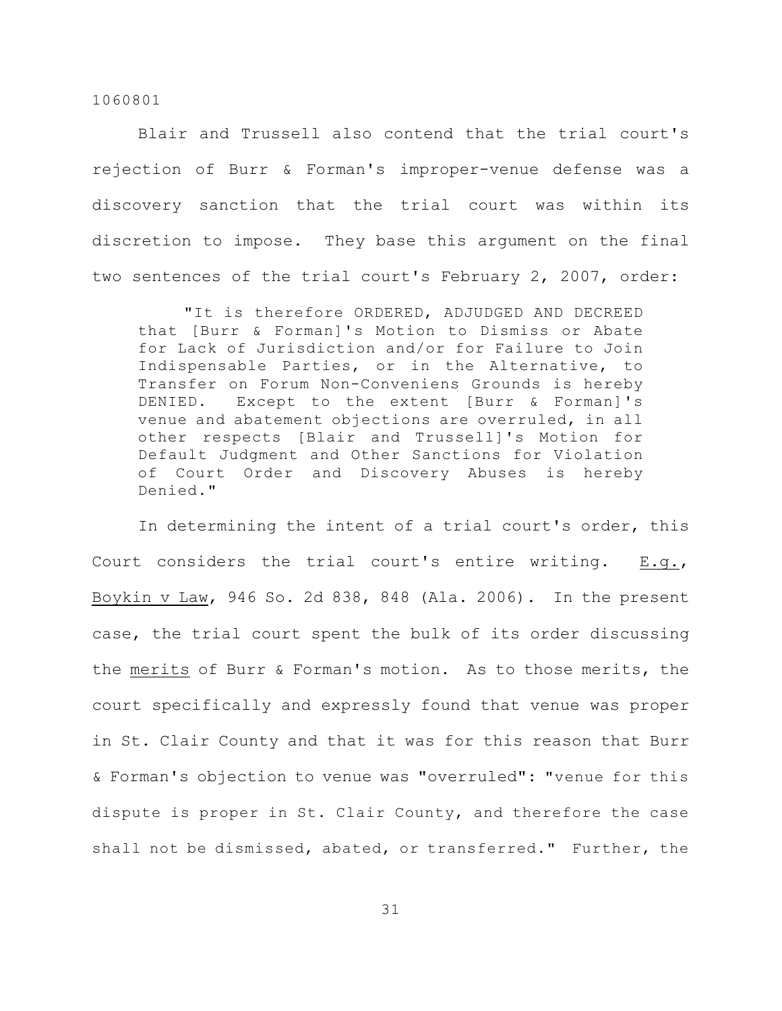Blair and Trussell also contend that the trial court's rejection of Burr & Forman's improper-venue defense was a discovery sanction that the trial court was within its discretion to impose. They base this argument on the final two sentences of the trial court's February 2, 2007, order:

"It is therefore ORDERED, ADJUDGED AND DECREED that [Burr & Forman]'s Motion to Dismiss or Abate for Lack of Jurisdiction and/or for Failure to Join Indispensable Parties, or in the Alternative, to Transfer on Forum Non-Conveniens Grounds is hereby DENIED. Except to the extent [Burr & Forman]'s venue and abatement objections are overruled, in all other respects [Blair and Trussell]'s Motion for Default Judgment and Other Sanctions for Violation of Court Order and Discovery Abuses is hereby Denied."

In determining the intent of a trial court's order, this Court considers the trial court's entire writing. E.g., Boykin v Law, 946 So. 2d 838, 848 (Ala. 2006). In the present case, the trial court spent the bulk of its order discussing the merits of Burr & Forman's motion. As to those merits, the court specifically and expressly found that venue was proper in St. Clair County and that it was for this reason that Burr & Forman's objection to venue was "overruled": "venue for this dispute is proper in St. Clair County, and therefore the case shall not be dismissed, abated, or transferred." Further, the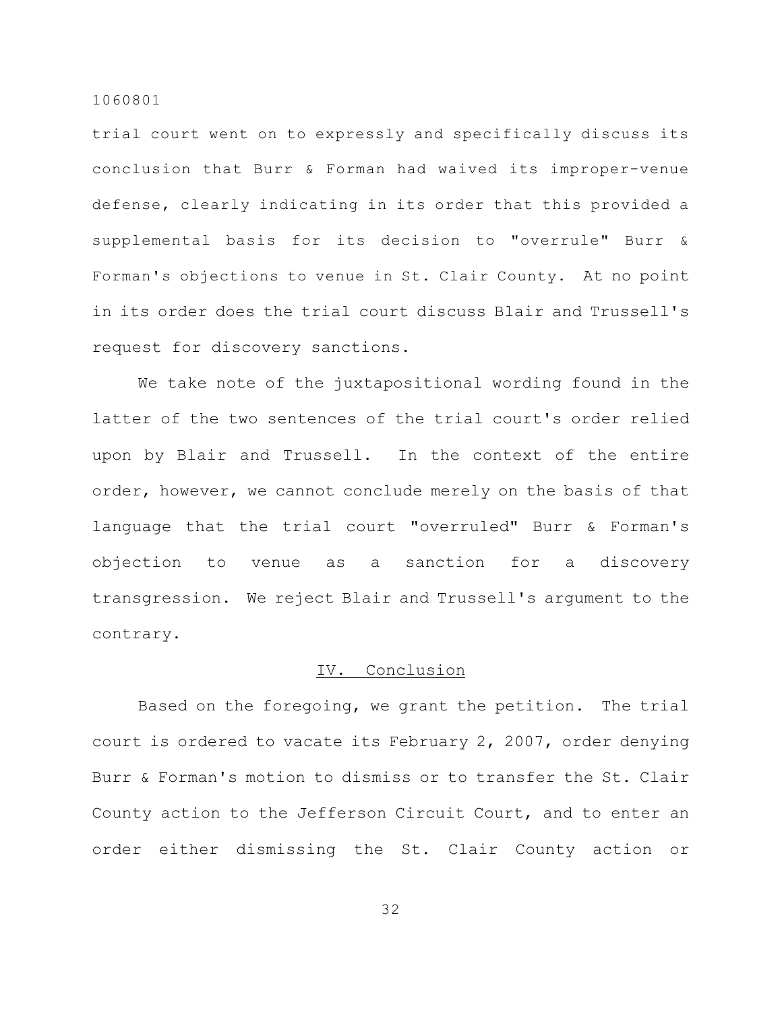trial court went on to expressly and specifically discuss its conclusion that Burr & Forman had waived its improper-venue defense, clearly indicating in its order that this provided a supplemental basis for its decision to "overrule" Burr & Forman's objections to venue in St. Clair County. At no point in its order does the trial court discuss Blair and Trussell's request for discovery sanctions.

We take note of the juxtapositional wording found in the latter of the two sentences of the trial court's order relied upon by Blair and Trussell. In the context of the entire order, however, we cannot conclude merely on the basis of that language that the trial court "overruled" Burr & Forman's objection to venue as a sanction for a discovery transgression. We reject Blair and Trussell's argument to the contrary.

# IV. Conclusion

Based on the foregoing, we grant the petition. The trial court is ordered to vacate its February 2, 2007, order denying Burr & Forman's motion to dismiss or to transfer the St. Clair County action to the Jefferson Circuit Court, and to enter an order either dismissing the St. Clair County action or